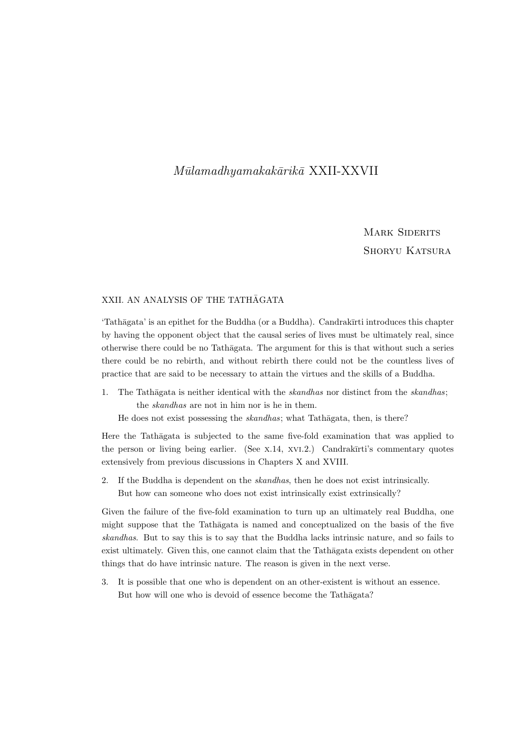MARK SIDERITS Shoryu Katsura

# XXII. AN ANALYSIS OF THE TATHAGATA

'Tath¯agata' is an epithet for the Buddha (or a Buddha). Candrak¯ırti introduces this chapter by having the opponent object that the causal series of lives must be ultimately real, since otherwise there could be no Tath $\bar{a}$ gata. The argument for this is that without such a series there could be no rebirth, and without rebirth there could not be the countless lives of practice that are said to be necessary to attain the virtues and the skills of a Buddha.

1. The Tath $\bar{a}$ gata is neither identical with the *skandhas* nor distinct from the *skandhas*; the *skandhas* are not in him nor is he in them.

He does not exist possessing the *skandhas*; what Tath $\bar{a}$ gata, then, is there?

Here the Tath $\bar{a}$ gata is subjected to the same five-fold examination that was applied to the person or living being earlier. (See  $x.14$ ,  $xv1.2$ .) Candrak $\overline{x}$ ti's commentary quotes extensively from previous discussions in Chapters X and XVIII.

2. If the Buddha is dependent on the *skandhas*, then he does not exist intrinsically. But how can someone who does not exist intrinsically exist extrinsically?

Given the failure of the five-fold examination to turn up an ultimately real Buddha, one might suppose that the Tath $\bar{a}$ gata is named and conceptualized on the basis of the five *skandhas*. But to say this is to say that the Buddha lacks intrinsic nature, and so fails to exist ultimately. Given this, one cannot claim that the Tath $\bar{a}$ gata exists dependent on other things that do have intrinsic nature. The reason is given in the next verse.

3. It is possible that one who is dependent on an other-existent is without an essence. But how will one who is devoid of essence become the Tathagata?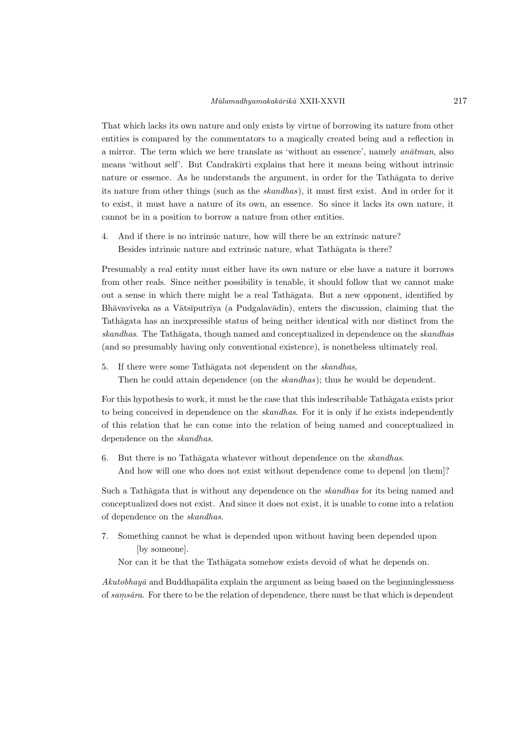That which lacks its own nature and only exists by virtue of borrowing its nature from other entities is compared by the commentators to a magically created being and a reflection in a mirror. The term which we here translate as 'without an essence', namely *an* $\bar{a}t$ *man*, also means 'without self'. But Candrakūrti explains that here it means being without intrinsic nature or essence. As he understands the argument, in order for the Tath $\bar{a}$ gata to derive its nature from other things (such as the *skandhas*), it must first exist. And in order for it to exist, it must have a nature of its own, an essence. So since it lacks its own nature, it cannot be in a position to borrow a nature from other entities.

4. And if there is no intrinsic nature, how will there be an extrinsic nature? Besides intrinsic nature and extrinsic nature, what Tath $\bar{a}$ gata is there?

Presumably a real entity must either have its own nature or else have a nature it borrows from other reals. Since neither possibility is tenable, it should follow that we cannot make out a sense in which there might be a real Tath $\bar{a}$ gata. But a new opponent, identified by Bh $\bar{a}$ vaviveka as a V $\bar{a}$ ts $\bar{a}$  varity (a Pudgalav $\bar{a}$ din), enters the discussion, claiming that the Tath $\bar{a}$ gata has an inexpressible status of being neither identical with nor distinct from the *skandhas*. The Tath¯agata, though named and conceptualized in dependence on the *skandhas* (and so presumably having only conventional existence), is nonetheless ultimately real.

5. If there were some Tath $\bar{a}$ gata not dependent on the *skandhas*, Then he could attain dependence (on the *skandhas*); thus he would be dependent.

For this hypothesis to work, it must be the case that this indescribable Tath $\bar{a}$ gata exists prior to being conceived in dependence on the *skandhas*. For it is only if he exists independently of this relation that he can come into the relation of being named and conceptualized in dependence on the *skandhas*.

6. But there is no Tath¯agata whatever without dependence on the *skandhas*. And how will one who does not exist without dependence come to depend [on them]?

Such a Tath<sub>agata</sub> that is without any dependence on the *skandhas* for its being named and conceptualized does not exist. And since it does not exist, it is unable to come into a relation of dependence on the *skandhas*.

7. Something cannot be what is depended upon without having been depended upon [by someone].

Nor can it be that the Tath $\bar{a}$ gata somehow exists devoid of what he depends on.

*Akutobhayā* and Buddhapālita explain the argument as being based on the beginninglessness of *samsara*. For there to be the relation of dependence, there must be that which is dependent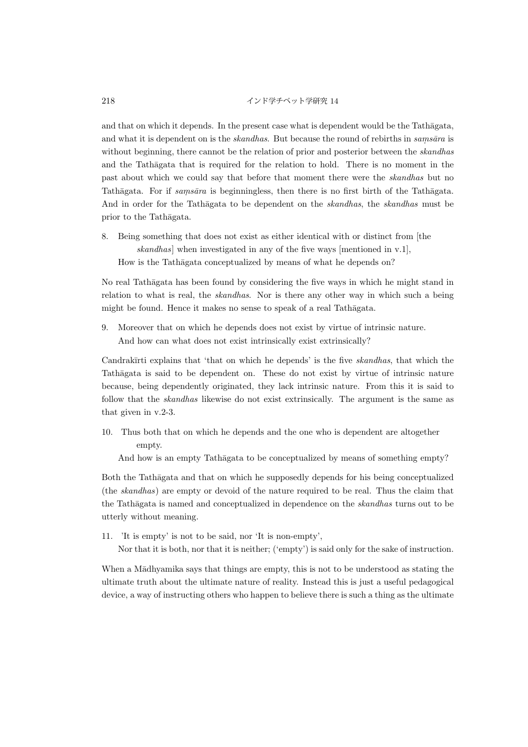and that on which it depends. In the present case what is dependent would be the Tath $\bar{a}$ gata, and what it is dependent on is the *skandhas*. But because the round of rebirths in *samsara* is without beginning, there cannot be the relation of prior and posterior between the *skandhas* and the Tath $\bar{a}$ gata that is required for the relation to hold. There is no moment in the past about which we could say that before that moment there were the *skandhas* but no Tathāgata. For if *samsāra* is beginningless, then there is no first birth of the Tathāgata. And in order for the Tath<sub>agata</sub> to be dependent on the *skandhas*, the *skandhas* must be prior to the Tathāgata.

8. Being something that does not exist as either identical with or distinct from [the *skandhas*] when investigated in any of the five ways [mentioned in v.1], How is the Tathāgata conceptualized by means of what he depends on?

No real Tath $\bar{a}$ gata has been found by considering the five ways in which he might stand in relation to what is real, the *skandhas*. Nor is there any other way in which such a being might be found. Hence it makes no sense to speak of a real Tath $\bar{a}$ gata.

Moreover that on which he depends does not exist by virtue of intrinsic nature. And how can what does not exist intrinsically exist extrinsically?

Candrak¯ırti explains that 'that on which he depends' is the five *skandhas*, that which the Tathāgata is said to be dependent on. These do not exist by virtue of intrinsic nature because, being dependently originated, they lack intrinsic nature. From this it is said to follow that the *skandhas* likewise do not exist extrinsically. The argument is the same as that given in v.2-3.

10. Thus both that on which he depends and the one who is dependent are altogether empty.

And how is an empty Tath $\bar{a}$ gata to be conceptualized by means of something empty?

Both the Tath $\bar{a}$ gata and that on which he supposedly depends for his being conceptualized (the *skandhas*) are empty or devoid of the nature required to be real. Thus the claim that the Tath $\bar{a}$ gata is named and conceptualized in dependence on the *skandhas* turns out to be utterly without meaning.

11. 'It is empty' is not to be said, nor 'It is non-empty',

Nor that it is both, nor that it is neither; ('empty') is said only for the sake of instruction.

When a M $\bar{a}$ dhyamika says that things are empty, this is not to be understood as stating the ultimate truth about the ultimate nature of reality. Instead this is just a useful pedagogical device, a way of instructing others who happen to believe there is such a thing as the ultimate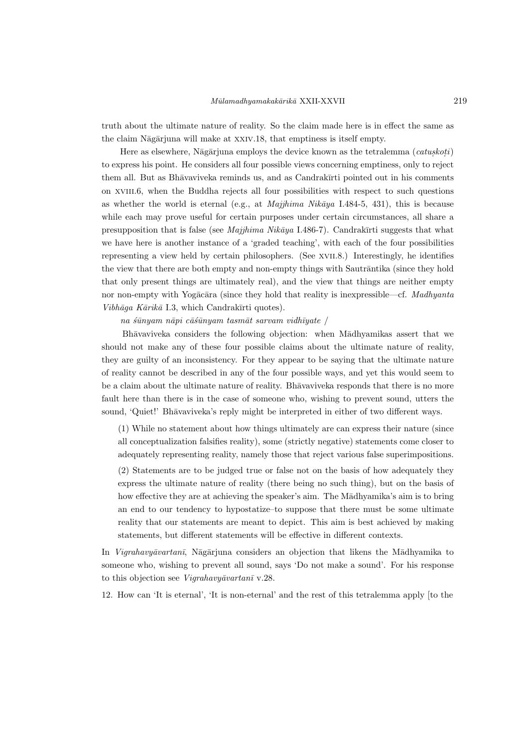truth about the ultimate nature of reality. So the claim made here is in effect the same as the claim Nāgārjuna will make at xxiv.18, that emptiness is itself empty.

Here as elsewhere, Nāgārjuna employs the device known as the tetralemma  $(catuskoti)$ to express his point. He considers all four possible views concerning emptiness, only to reject them all. But as Bhavaviveka reminds us, and as Candrakūrti pointed out in his comments on xviii.6, when the Buddha rejects all four possibilities with respect to such questions as whether the world is eternal (e.g., at *Majjhima Nikāya* I.484-5, 431), this is because while each may prove useful for certain purposes under certain circumstances, all share a presupposition that is false (see *Majjhima Nikāya* I.486-7). Candrakīrti suggests that what we have here is another instance of a 'graded teaching', with each of the four possibilities representing a view held by certain philosophers. (See xvii.8.) Interestingly, he identifies the view that there are both empty and non-empty things with Sautrāntika (since they hold that only present things are ultimately real), and the view that things are neither empty nor non-empty with Yogacara (since they hold that reality is inexpressible—cf. *Madhyanta*  $Vibhāga Kārikā$  I.3, which Candrakīrti quotes).

*na ´s¯unyam n¯api c¯a´s¯unyam tasm¯at sarvam vidh¯ıyate* /

Bhavaviveka considers the following objection: when Madhyamikas assert that we should not make any of these four possible claims about the ultimate nature of reality, they are guilty of an inconsistency. For they appear to be saying that the ultimate nature of reality cannot be described in any of the four possible ways, and yet this would seem to be a claim about the ultimate nature of reality. Bhavaviveka responds that there is no more fault here than there is in the case of someone who, wishing to prevent sound, utters the sound, 'Quiet!' Bhavaviveka's reply might be interpreted in either of two different ways.

(1) While no statement about how things ultimately are can express their nature (since all conceptualization falsifies reality), some (strictly negative) statements come closer to adequately representing reality, namely those that reject various false superimpositions. (2) Statements are to be judged true or false not on the basis of how adequately they express the ultimate nature of reality (there being no such thing), but on the basis of how effective they are at achieving the speaker's aim. The Madhyamika's aim is to bring an end to our tendency to hypostatize–to suppose that there must be some ultimate reality that our statements are meant to depict. This aim is best achieved by making statements, but different statements will be effective in different contexts.

In *Vigrahavyāvartanī*, Nāgārjuna considers an objection that likens the Mādhyamika to someone who, wishing to prevent all sound, says 'Do not make a sound'. For his response to this objection see *Vigrahavyāvartanī* v.28.

12. How can 'It is eternal', 'It is non-eternal' and the rest of this tetralemma apply [to the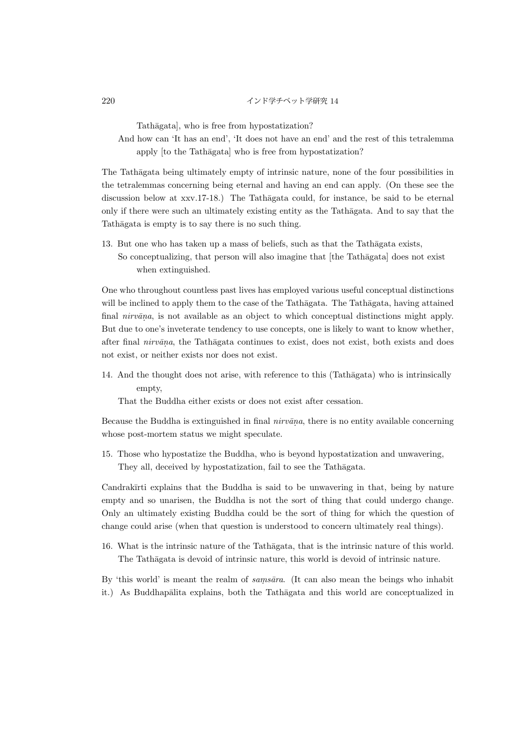Tath $\bar{a}$ gata, who is free from hypostatization?

And how can 'It has an end', 'It does not have an end' and the rest of this tetralemma apply [to the Tath $\bar{a}$ gata] who is free from hypostatization?

The Tath $\bar{a}$ gata being ultimately empty of intrinsic nature, none of the four possibilities in the tetralemmas concerning being eternal and having an end can apply. (On these see the discussion below at  $xxv.17-18$ .) The Tath $\bar{a}$ gata could, for instance, be said to be eternal only if there were such an ultimately existing entity as the Tath $\bar{a}$ gata. And to say that the Tath $\bar{a}$ gata is empty is to say there is no such thing.

13. But one who has taken up a mass of beliefs, such as that the Tath $\bar{a}$ gata exists, So conceptualizing, that person will also imagine that [the Tath $\bar{a}$ gata] does not exist when extinguished.

One who throughout countless past lives has employed various useful conceptual distinctions will be inclined to apply them to the case of the Tath $\bar{a}$ gata. The Tath $\bar{a}$ gata, having attained final *nirvāna*, is not available as an object to which conceptual distinctions might apply. But due to one's inveterate tendency to use concepts, one is likely to want to know whether, after final *nirvāna*, the Tathāgata continues to exist, does not exist, both exists and does not exist, or neither exists nor does not exist.

14. And the thought does not arise, with reference to this (Tath $\bar{a}$ gata) who is intrinsically empty,

That the Buddha either exists or does not exist after cessation.

Because the Buddha is extinguished in final *nirvana*, there is no entity available concerning whose post-mortem status we might speculate.

15. Those who hypostatize the Buddha, who is beyond hypostatization and unwavering, They all, deceived by hypostatization, fail to see the Tath $\bar{a}$ gata.

Candrakūrti explains that the Buddha is said to be unwavering in that, being by nature empty and so unarisen, the Buddha is not the sort of thing that could undergo change. Only an ultimately existing Buddha could be the sort of thing for which the question of change could arise (when that question is understood to concern ultimately real things).

16. What is the intrinsic nature of the Tath $\bar{a}$ gata, that is the intrinsic nature of this world. The Tath $\bar{a}$ gata is devoid of intrinsic nature, this world is devoid of intrinsic nature.

By 'this world' is meant the realm of *samsara*. (It can also mean the beings who inhabit it.) As Buddhapālita explains, both the Tathāgata and this world are conceptualized in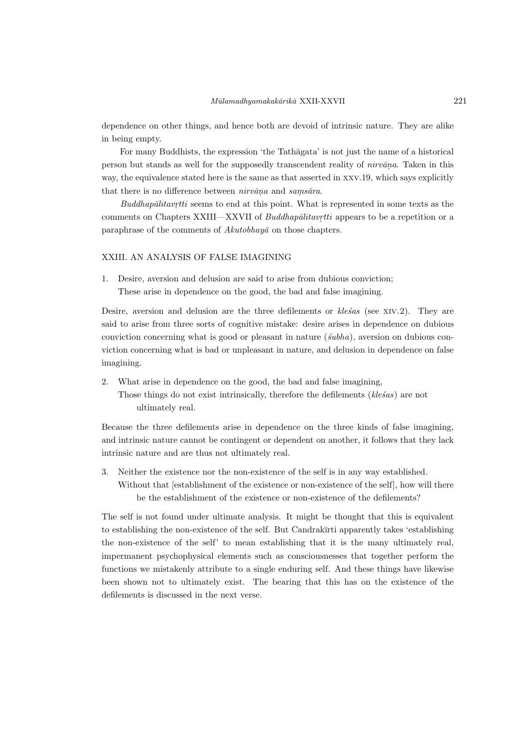dependence on other things, and hence both are devoid of intrinsic nature. They are alike in being empty.

For many Buddhists, the expression 'the Tath $\bar{a}$ gata' is not just the name of a historical person but stands as well for the supposedly transcendent reality of *nirvana*. Taken in this way, the equivalence stated here is the same as that asserted in xxv.19, which says explicitly that there is no difference between  $nirvāna$  and  $samsāra$ .

*Buddhapālitavrtti* seems to end at this point. What is represented in some texts as the comments on Chapters XXIII—XXVII of *Buddhapālitavrtti* appears to be a repetition or a paraphrase of the comments of *Akutobhaya* on those chapters.

# XXIII. AN ANALYSIS OF FALSE IMAGINING

1. Desire, aversion and delusion are said to arise from dubious conviction; These arise in dependence on the good, the bad and false imagining.

Desire, aversion and delusion are the three defilements or *kles<sup>ias</sup>* (see xiv.2). They are said to arise from three sorts of cognitive mistake: desire arises in dependence on dubious conviction concerning what is good or pleasant in nature (*´subha*), aversion on dubious conviction concerning what is bad or unpleasant in nature, and delusion in dependence on false imagining.

- 2. What arise in dependence on the good, the bad and false imagining,
	- Those things do not exist intrinsically, therefore the defilements (*kle´sas*) are not ultimately real.

Because the three defilements arise in dependence on the three kinds of false imagining, and intrinsic nature cannot be contingent or dependent on another, it follows that they lack intrinsic nature and are thus not ultimately real.

3. Neither the existence nor the non-existence of the self is in any way established. Without that [establishment of the existence or non-existence of the self], how will there be the establishment of the existence or non-existence of the defilements?

The self is not found under ultimate analysis. It might be thought that this is equivalent to establishing the non-existence of the self. But Candrakūrti apparently takes 'establishing the non-existence of the self' to mean establishing that it is the many ultimately real, impermanent psychophysical elements such as consciousnesses that together perform the functions we mistakenly attribute to a single enduring self. And these things have likewise been shown not to ultimately exist. The bearing that this has on the existence of the defilements is discussed in the next verse.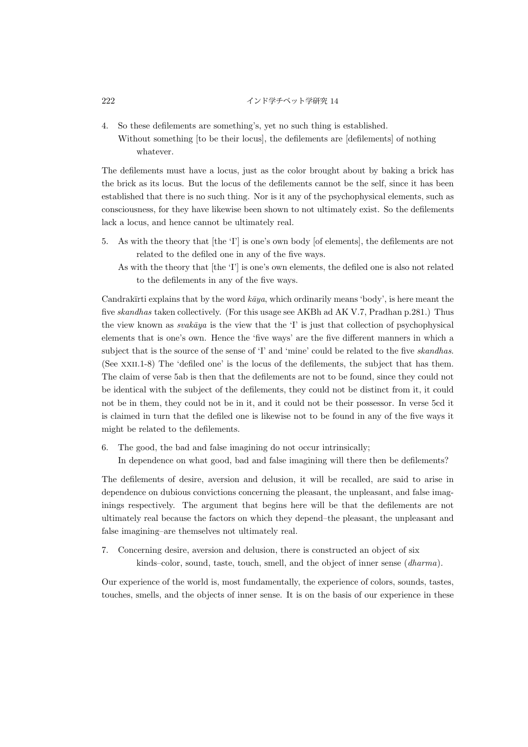4. So these defilements are something's, yet no such thing is established. Without something [to be their locus], the defilements are [defilements] of nothing whatever.

The defilements must have a locus, just as the color brought about by baking a brick has the brick as its locus. But the locus of the defilements cannot be the self, since it has been established that there is no such thing. Nor is it any of the psychophysical elements, such as consciousness, for they have likewise been shown to not ultimately exist. So the defilements lack a locus, and hence cannot be ultimately real.

- 5. As with the theory that [the 'I'] is one's own body [of elements], the defilements are not related to the defiled one in any of the five ways.
	- As with the theory that [the 'I'] is one's own elements, the defiled one is also not related to the defilements in any of the five ways.

Candrakūrti explains that by the word *kāya*, which ordinarily means 'body', is here meant the five *skandhas* taken collectively. (For this usage see AKBh ad AK V.7, Pradhan p.281.) Thus the view known as  $svakāya$  is the view that the 'I' is just that collection of psychophysical elements that is one's own. Hence the 'five ways' are the five different manners in which a subject that is the source of the sense of 'I' and 'mine' could be related to the five *skandhas*. (See xxii.1-8) The 'defiled one' is the locus of the defilements, the subject that has them. The claim of verse 5ab is then that the defilements are not to be found, since they could not be identical with the subject of the defilements, they could not be distinct from it, it could not be in them, they could not be in it, and it could not be their possessor. In verse 5cd it is claimed in turn that the defiled one is likewise not to be found in any of the five ways it might be related to the defilements.

6. The good, the bad and false imagining do not occur intrinsically;

In dependence on what good, bad and false imagining will there then be defilements?

The defilements of desire, aversion and delusion, it will be recalled, are said to arise in dependence on dubious convictions concerning the pleasant, the unpleasant, and false imaginings respectively. The argument that begins here will be that the defilements are not ultimately real because the factors on which they depend–the pleasant, the unpleasant and false imagining–are themselves not ultimately real.

7. Concerning desire, aversion and delusion, there is constructed an object of six kinds–color, sound, taste, touch, smell, and the object of inner sense (*dharma*).

Our experience of the world is, most fundamentally, the experience of colors, sounds, tastes, touches, smells, and the objects of inner sense. It is on the basis of our experience in these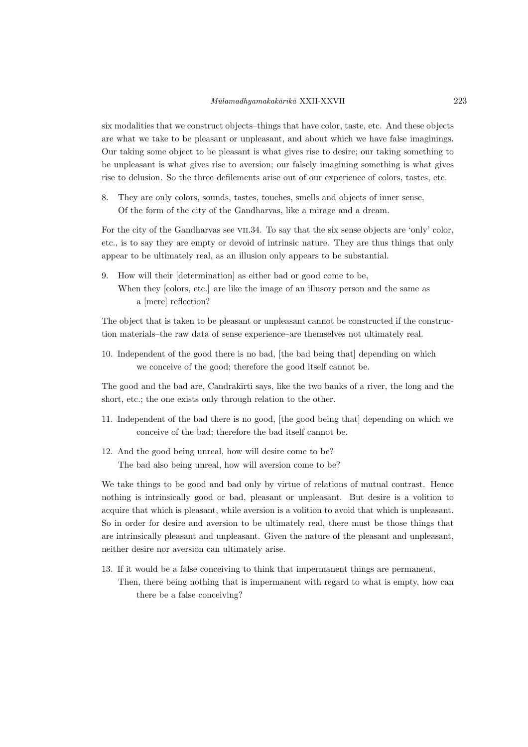six modalities that we construct objects–things that have color, taste, etc. And these objects are what we take to be pleasant or unpleasant, and about which we have false imaginings. Our taking some object to be pleasant is what gives rise to desire; our taking something to be unpleasant is what gives rise to aversion; our falsely imagining something is what gives rise to delusion. So the three defilements arise out of our experience of colors, tastes, etc.

8. They are only colors, sounds, tastes, touches, smells and objects of inner sense, Of the form of the city of the Gandharvas, like a mirage and a dream.

For the city of the Gandharvas see VII.34. To say that the six sense objects are 'only' color, etc., is to say they are empty or devoid of intrinsic nature. They are thus things that only appear to be ultimately real, as an illusion only appears to be substantial.

9. How will their [determination] as either bad or good come to be, When they [colors, etc.] are like the image of an illusory person and the same as a [mere] reflection?

The object that is taken to be pleasant or unpleasant cannot be constructed if the construction materials–the raw data of sense experience–are themselves not ultimately real.

10. Independent of the good there is no bad, [the bad being that] depending on which we conceive of the good; therefore the good itself cannot be.

The good and the bad are, Candrakūrti says, like the two banks of a river, the long and the short, etc.; the one exists only through relation to the other.

- 11. Independent of the bad there is no good, [the good being that] depending on which we conceive of the bad; therefore the bad itself cannot be.
- 12. And the good being unreal, how will desire come to be? The bad also being unreal, how will aversion come to be?

We take things to be good and bad only by virtue of relations of mutual contrast. Hence nothing is intrinsically good or bad, pleasant or unpleasant. But desire is a volition to acquire that which is pleasant, while aversion is a volition to avoid that which is unpleasant. So in order for desire and aversion to be ultimately real, there must be those things that are intrinsically pleasant and unpleasant. Given the nature of the pleasant and unpleasant, neither desire nor aversion can ultimately arise.

13. If it would be a false conceiving to think that impermanent things are permanent, Then, there being nothing that is impermanent with regard to what is empty, how can there be a false conceiving?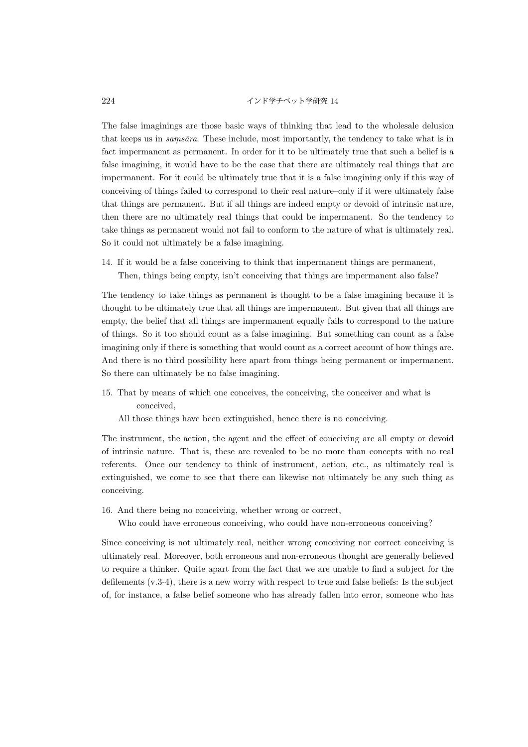The false imaginings are those basic ways of thinking that lead to the wholesale delusion that keeps us in *samsara*. These include, most importantly, the tendency to take what is in fact impermanent as permanent. In order for it to be ultimately true that such a belief is a false imagining, it would have to be the case that there are ultimately real things that are impermanent. For it could be ultimately true that it is a false imagining only if this way of conceiving of things failed to correspond to their real nature–only if it were ultimately false that things are permanent. But if all things are indeed empty or devoid of intrinsic nature, then there are no ultimately real things that could be impermanent. So the tendency to take things as permanent would not fail to conform to the nature of what is ultimately real. So it could not ultimately be a false imagining.

14. If it would be a false conceiving to think that impermanent things are permanent, Then, things being empty, isn't conceiving that things are impermanent also false?

The tendency to take things as permanent is thought to be a false imagining because it is thought to be ultimately true that all things are impermanent. But given that all things are empty, the belief that all things are impermanent equally fails to correspond to the nature of things. So it too should count as a false imagining. But something can count as a false imagining only if there is something that would count as a correct account of how things are. And there is no third possibility here apart from things being permanent or impermanent. So there can ultimately be no false imagining.

- 15. That by means of which one conceives, the conceiving, the conceiver and what is conceived,
	- All those things have been extinguished, hence there is no conceiving.

The instrument, the action, the agent and the effect of conceiving are all empty or devoid of intrinsic nature. That is, these are revealed to be no more than concepts with no real referents. Once our tendency to think of instrument, action, etc., as ultimately real is extinguished, we come to see that there can likewise not ultimately be any such thing as conceiving.

16. And there being no conceiving, whether wrong or correct,

Who could have erroneous conceiving, who could have non-erroneous conceiving?

Since conceiving is not ultimately real, neither wrong conceiving nor correct conceiving is ultimately real. Moreover, both erroneous and non-erroneous thought are generally believed to require a thinker. Quite apart from the fact that we are unable to find a subject for the defilements (v.3-4), there is a new worry with respect to true and false beliefs: Is the subject of, for instance, a false belief someone who has already fallen into error, someone who has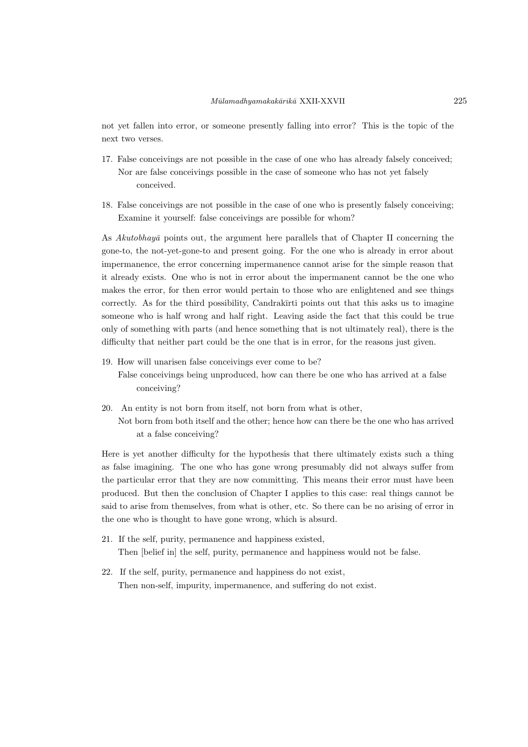not yet fallen into error, or someone presently falling into error? This is the topic of the next two verses.

- 17. False conceivings are not possible in the case of one who has already falsely conceived; Nor are false conceivings possible in the case of someone who has not yet falsely conceived.
- 18. False conceivings are not possible in the case of one who is presently falsely conceiving; Examine it yourself: false conceivings are possible for whom?

As *Akutobhay¯a* points out, the argument here parallels that of Chapter II concerning the gone-to, the not-yet-gone-to and present going. For the one who is already in error about impermanence, the error concerning impermanence cannot arise for the simple reason that it already exists. One who is not in error about the impermanent cannot be the one who makes the error, for then error would pertain to those who are enlightened and see things correctly. As for the third possibility, Candrakūrti points out that this asks us to imagine someone who is half wrong and half right. Leaving aside the fact that this could be true only of something with parts (and hence something that is not ultimately real), there is the difficulty that neither part could be the one that is in error, for the reasons just given.

- 19. How will unarisen false conceivings ever come to be? False conceivings being unproduced, how can there be one who has arrived at a false conceiving?
- 20. An entity is not born from itself, not born from what is other, Not born from both itself and the other; hence how can there be the one who has arrived at a false conceiving?

Here is yet another difficulty for the hypothesis that there ultimately exists such a thing as false imagining. The one who has gone wrong presumably did not always suffer from the particular error that they are now committing. This means their error must have been produced. But then the conclusion of Chapter I applies to this case: real things cannot be said to arise from themselves, from what is other, etc. So there can be no arising of error in the one who is thought to have gone wrong, which is absurd.

- 21. If the self, purity, permanence and happiness existed, Then [belief in] the self, purity, permanence and happiness would not be false.
- 22. If the self, purity, permanence and happiness do not exist, Then non-self, impurity, impermanence, and suffering do not exist.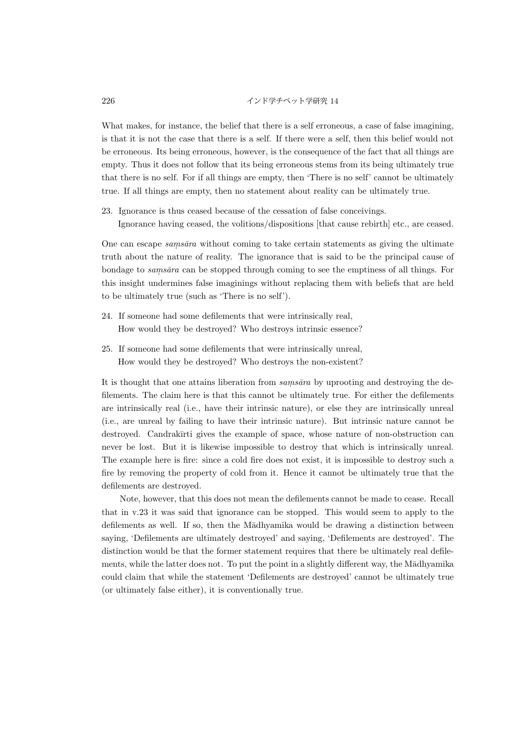What makes, for instance, the belief that there is a self erroneous, a case of false imagining, is that it is not the case that there is a self. If there were a self, then this belief would not be erroneous. Its being erroneous, however, is the consequence of the fact that all things are empty. Thus it does not follow that its being erroneous stems from its being ultimately true that there is no self. For if all things are empty, then 'There is no self' cannot be ultimately true. If all things are empty, then no statement about reality can be ultimately true.

23. Ignorance is thus ceased because of the cessation of false conceivings.

Ignorance having ceased, the volitions/dispositions [that cause rebirth] etc., are ceased.

One can escape *samsara* without coming to take certain statements as giving the ultimate truth about the nature of reality. The ignorance that is said to be the principal cause of bondage to *samsara* can be stopped through coming to see the emptiness of all things. For this insight undermines false imaginings without replacing them with beliefs that are held to be ultimately true (such as 'There is no self').

- 24. If someone had some defilements that were intrinsically real, How would they be destroyed? Who destroys intrinsic essence?
- 25. If someone had some defilements that were intrinsically unreal, How would they be destroyed? Who destroys the non-existent?

It is thought that one attains liberation from *samsara* by uprooting and destroying the defilements. The claim here is that this cannot be ultimately true. For either the defilements are intrinsically real (i.e., have their intrinsic nature), or else they are intrinsically unreal (i.e., are unreal by failing to have their intrinsic nature). But intrinsic nature cannot be destroyed. Candrakūrti gives the example of space, whose nature of non-obstruction can never be lost. But it is likewise impossible to destroy that which is intrinsically unreal. The example here is fire: since a cold fire does not exist, it is impossible to destroy such a fire by removing the property of cold from it. Hence it cannot be ultimately true that the defilements are destroyed.

 Note, however, that this does not mean the defilements cannot be made to cease. Recall that in v.23 it was said that ignorance can be stopped. This would seem to apply to the defilements as well. If so, then the Madhyamika would be drawing a distinction between saying, 'Defilements are ultimately destroyed' and saying, 'Defilements are destroyed'. The distinction would be that the former statement requires that there be ultimately real defilements, while the latter does not. To put the point in a slightly different way, the Madhyamika could claim that while the statement 'Defilements are destroyed' cannot be ultimately true (or ultimately false either), it is conventionally true.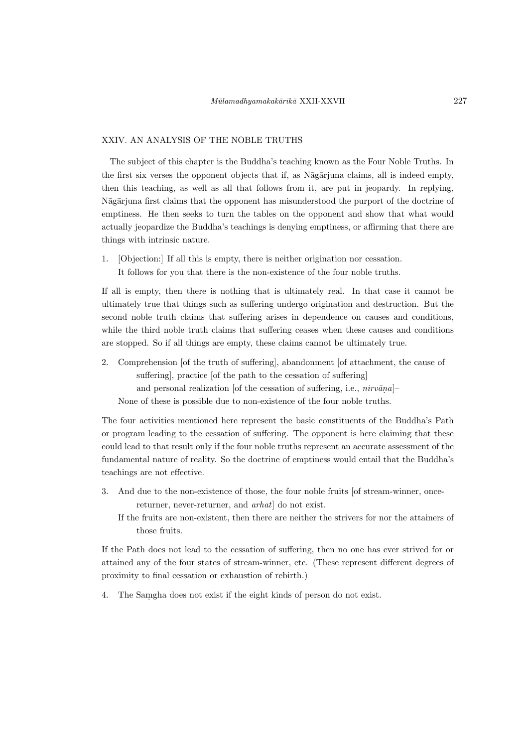#### XXIV. AN ANALYSIS OF THE NOBLE TRUTHS

The subject of this chapter is the Buddha's teaching known as the Four Noble Truths. In the first six verses the opponent objects that if, as Nagariuna claims, all is indeed empty, then this teaching, as well as all that follows from it, are put in jeopardy. In replying, Nāgārjuna first claims that the opponent has misunderstood the purport of the doctrine of emptiness. He then seeks to turn the tables on the opponent and show that what would actually jeopardize the Buddha's teachings is denying emptiness, or affirming that there are things with intrinsic nature.

1. [Objection:] If all this is empty, there is neither origination nor cessation. It follows for you that there is the non-existence of the four noble truths.

If all is empty, then there is nothing that is ultimately real. In that case it cannot be ultimately true that things such as suffering undergo origination and destruction. But the second noble truth claims that suffering arises in dependence on causes and conditions, while the third noble truth claims that suffering ceases when these causes and conditions are stopped. So if all things are empty, these claims cannot be ultimately true.

- 2. Comprehension [of the truth of suffering], abandonment [of attachment, the cause of suffering], practice [of the path to the cessation of suffering]
	- and personal realization [of the cessation of suffering, i.e., *nirvana*.

None of these is possible due to non-existence of the four noble truths.

The four activities mentioned here represent the basic constituents of the Buddha's Path or program leading to the cessation of suffering. The opponent is here claiming that these could lead to that result only if the four noble truths represent an accurate assessment of the fundamental nature of reality. So the doctrine of emptiness would entail that the Buddha's teachings are not effective.

- 3. And due to the non-existence of those, the four noble fruits [of stream-winner, once- returner, never-returner, and *arhat*] do not exist.
	- If the fruits are non-existent, then there are neither the strivers for nor the attainers of those fruits.

If the Path does not lead to the cessation of suffering, then no one has ever strived for or attained any of the four states of stream-winner, etc. (These represent different degrees of proximity to final cessation or exhaustion of rebirth.)

4. The Samgha does not exist if the eight kinds of person do not exist.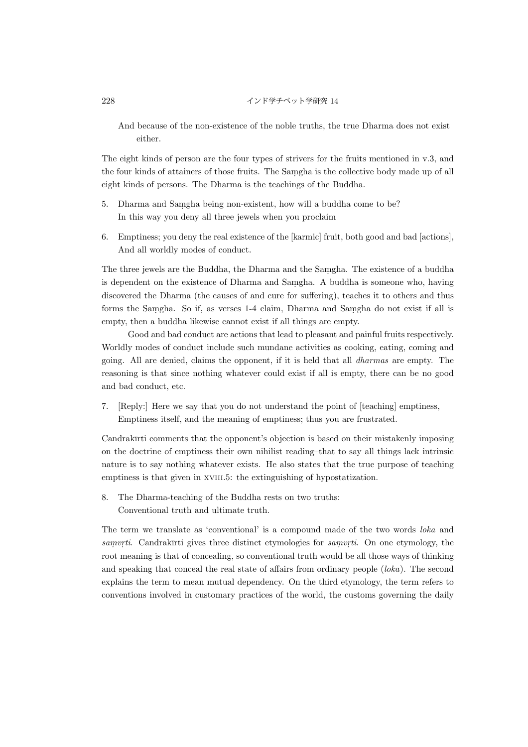And because of the non-existence of the noble truths, the true Dharma does not exist either.

The eight kinds of person are the four types of strivers for the fruits mentioned in v.3, and the four kinds of attainers of those fruits. The Samgha is the collective body made up of all eight kinds of persons. The Dharma is the teachings of the Buddha.

- 5. Dharma and Samgha being non-existent, how will a buddha come to be? In this way you deny all three jewels when you proclaim
- 6. Emptiness; you deny the real existence of the [karmic] fruit, both good and bad [actions], And all worldly modes of conduct.

The three jewels are the Buddha, the Dharma and the Samgha. The existence of a buddha is dependent on the existence of Dharma and Samgha. A buddha is someone who, having discovered the Dharma (the causes of and cure for suffering), teaches it to others and thus forms the Samgha. So if, as verses 1-4 claim, Dharma and Samgha do not exist if all is empty, then a buddha likewise cannot exist if all things are empty.

 Good and bad conduct are actions that lead to pleasant and painful fruits respectively. Worldly modes of conduct include such mundane activities as cooking, eating, coming and going. All are denied, claims the opponent, if it is held that all *dharmas* are empty. The reasoning is that since nothing whatever could exist if all is empty, there can be no good and bad conduct, etc.

7. [Reply:] Here we say that you do not understand the point of [teaching] emptiness, Emptiness itself, and the meaning of emptiness; thus you are frustrated.

Candrak $\overline{\text{crit}}$  comments that the opponent's objection is based on their mistakenly imposing on the doctrine of emptiness their own nihilist reading–that to say all things lack intrinsic nature is to say nothing whatever exists. He also states that the true purpose of teaching emptiness is that given in XVIII.5: the extinguishing of hypostatization.

8. The Dharma-teaching of the Buddha rests on two truths: Conventional truth and ultimate truth.

The term we translate as 'conventional' is a compound made of the two words *loka* and *samvrti.* Candrakūrti gives three distinct etymologies for *samvrti*. On one etymology, the root meaning is that of concealing, so conventional truth would be all those ways of thinking and speaking that conceal the real state of affairs from ordinary people (*loka*). The second explains the term to mean mutual dependency. On the third etymology, the term refers to conventions involved in customary practices of the world, the customs governing the daily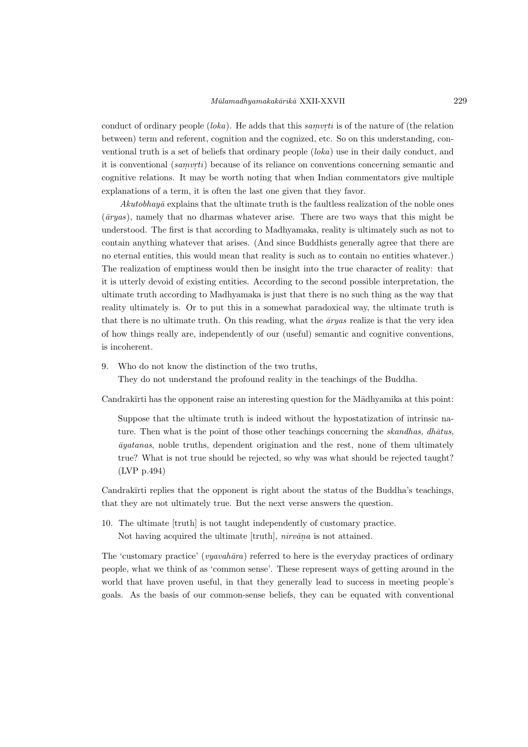conduct of ordinary people (*loka*). He adds that this *samvrti* is of the nature of (the relation between) term and referent, cognition and the cognized, etc. So on this understanding, conventional truth is a set of beliefs that ordinary people (*loka*) use in their daily conduct, and it is conventional (*samvrti*) because of its reliance on conventions concerning semantic and cognitive relations. It may be worth noting that when Indian commentators give multiple explanations of a term, it is often the last one given that they favor.

 $Akutobhay\bar{a}$  explains that the ultimate truth is the faultless realization of the noble ones (*¯aryas*), namely that no dharmas whatever arise. There are two ways that this might be understood. The first is that according to Madhyamaka, reality is ultimately such as not to contain anything whatever that arises. (And since Buddhists generally agree that there are no eternal entities, this would mean that reality is such as to contain no entities whatever.) The realization of emptiness would then be insight into the true character of reality: that it is utterly devoid of existing entities. According to the second possible interpretation, the ultimate truth according to Madhyamaka is just that there is no such thing as the way that reality ultimately is. Or to put this in a somewhat paradoxical way, the ultimate truth is that there is no ultimate truth. On this reading, what the  $\bar{a}ryas$  realize is that the very idea of how things really are, independently of our (useful) semantic and cognitive conventions, is incoherent.

9. Who do not know the distinction of the two truths,

They do not understand the profound reality in the teachings of the Buddha.

Candrakūrti has the opponent raise an interesting question for the M $\bar{a}$ dhyamika at this point:

Suppose that the ultimate truth is indeed without the hypostatization of intrinsic nature. Then what is the point of those other teachings concerning the *skandhas*, *dhātus*, *¯ayatanas*, noble truths, dependent origination and the rest, none of them ultimately true? What is not true should be rejected, so why was what should be rejected taught? (LVP p.494)

Candrakūrti replies that the opponent is right about the status of the Buddha's teachings, that they are not ultimately true. But the next verse answers the question.

10. The ultimate [truth] is not taught independently of customary practice. Not having acquired the ultimate [truth],  $nirvāna$  is not attained.

The 'customary practice' (*vyavahāra*) referred to here is the everyday practices of ordinary people, what we think of as 'common sense'. These represent ways of getting around in the world that have proven useful, in that they generally lead to success in meeting people's goals. As the basis of our common-sense beliefs, they can be equated with conventional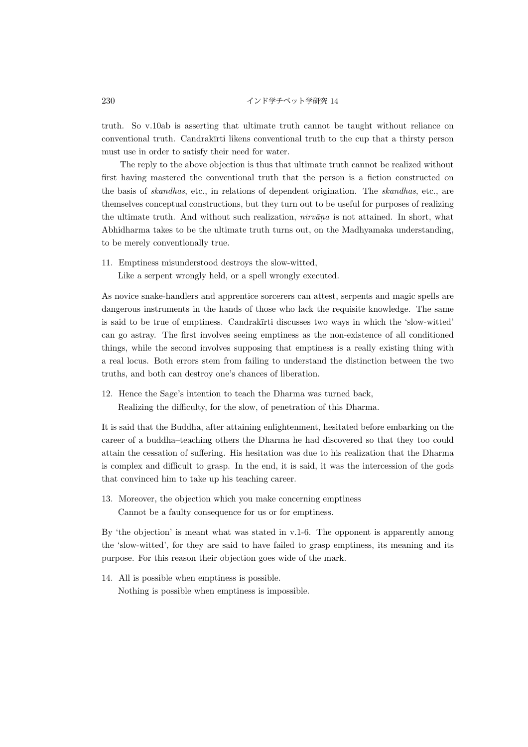truth. So v.10ab is asserting that ultimate truth cannot be taught without reliance on conventional truth. Candrakūrti likens conventional truth to the cup that a thirsty person must use in order to satisfy their need for water.

 The reply to the above objection is thus that ultimate truth cannot be realized without first having mastered the conventional truth that the person is a fiction constructed on the basis of *skandhas*, etc., in relations of dependent origination. The *skandhas*, etc., are themselves conceptual constructions, but they turn out to be useful for purposes of realizing the ultimate truth. And without such realization,  $nirvāna$  is not attained. In short, what Abhidharma takes to be the ultimate truth turns out, on the Madhyamaka understanding, to be merely conventionally true.

11. Emptiness misunderstood destroys the slow-witted, Like a serpent wrongly held, or a spell wrongly executed.

As novice snake-handlers and apprentice sorcerers can attest, serpents and magic spells are dangerous instruments in the hands of those who lack the requisite knowledge. The same is said to be true of emptiness. Candrak $\overline{\text{trt}}$  discusses two ways in which the 'slow-witted' can go astray. The first involves seeing emptiness as the non-existence of all conditioned things, while the second involves supposing that emptiness is a really existing thing with a real locus. Both errors stem from failing to understand the distinction between the two truths, and both can destroy one's chances of liberation.

12. Hence the Sage's intention to teach the Dharma was turned back, Realizing the difficulty, for the slow, of penetration of this Dharma.

It is said that the Buddha, after attaining enlightenment, hesitated before embarking on the career of a buddha–teaching others the Dharma he had discovered so that they too could attain the cessation of suffering. His hesitation was due to his realization that the Dharma is complex and difficult to grasp. In the end, it is said, it was the intercession of the gods that convinced him to take up his teaching career.

13. Moreover, the objection which you make concerning emptiness Cannot be a faulty consequence for us or for emptiness.

By 'the objection' is meant what was stated in v.1-6. The opponent is apparently among the 'slow-witted', for they are said to have failed to grasp emptiness, its meaning and its purpose. For this reason their objection goes wide of the mark.

14. All is possible when emptiness is possible. Nothing is possible when emptiness is impossible.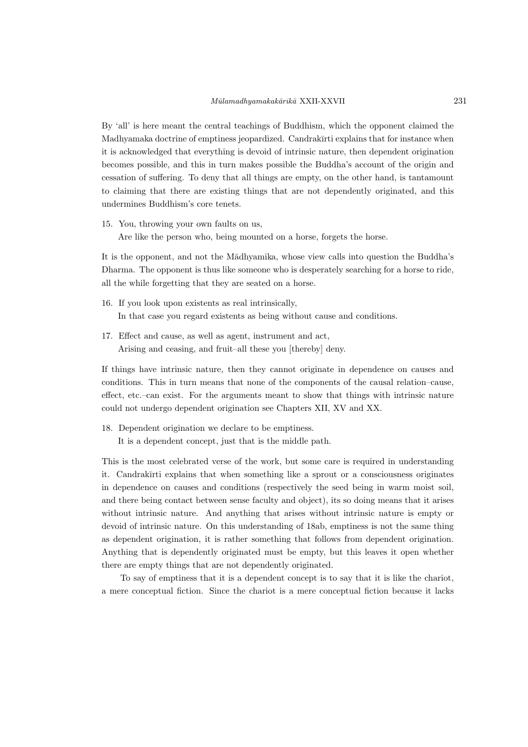By 'all' is here meant the central teachings of Buddhism, which the opponent claimed the Madhyamaka doctrine of emptiness jeopardized. Candrakīrti explains that for instance when it is acknowledged that everything is devoid of intrinsic nature, then dependent origination becomes possible, and this in turn makes possible the Buddha's account of the origin and cessation of suffering. To deny that all things are empty, on the other hand, is tantamount to claiming that there are existing things that are not dependently originated, and this undermines Buddhism's core tenets.

15. You, throwing your own faults on us,

Are like the person who, being mounted on a horse, forgets the horse.

It is the opponent, and not the Madhyamika, whose view calls into question the Buddha's Dharma. The opponent is thus like someone who is desperately searching for a horse to ride, all the while forgetting that they are seated on a horse.

- 16. If you look upon existents as real intrinsically, In that case you regard existents as being without cause and conditions.
- 17. Effect and cause, as well as agent, instrument and act, Arising and ceasing, and fruit–all these you [thereby] deny.

If things have intrinsic nature, then they cannot originate in dependence on causes and conditions. This in turn means that none of the components of the causal relation–cause, effect, etc.–can exist. For the arguments meant to show that things with intrinsic nature could not undergo dependent origination see Chapters XII, XV and XX.

18. Dependent origination we declare to be emptiness.

It is a dependent concept, just that is the middle path.

This is the most celebrated verse of the work, but some care is required in understanding it. Candrak¯ırti explains that when something like a sprout or a consciousness originates in dependence on causes and conditions (respectively the seed being in warm moist soil, and there being contact between sense faculty and object), its so doing means that it arises without intrinsic nature. And anything that arises without intrinsic nature is empty or devoid of intrinsic nature. On this understanding of 18ab, emptiness is not the same thing as dependent origination, it is rather something that follows from dependent origination. Anything that is dependently originated must be empty, but this leaves it open whether there are empty things that are not dependently originated.

 To say of emptiness that it is a dependent concept is to say that it is like the chariot, a mere conceptual fiction. Since the chariot is a mere conceptual fiction because it lacks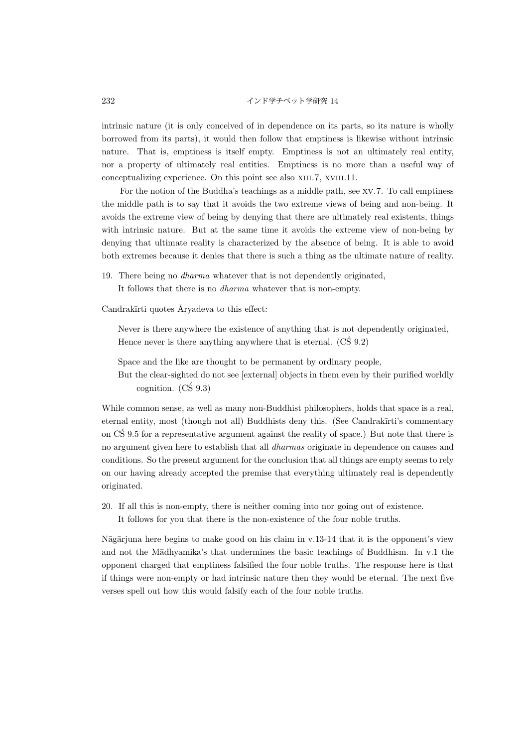intrinsic nature (it is only conceived of in dependence on its parts, so its nature is wholly borrowed from its parts), it would then follow that emptiness is likewise without intrinsic nature. That is, emptiness is itself empty. Emptiness is not an ultimately real entity, nor a property of ultimately real entities. Emptiness is no more than a useful way of conceptualizing experience. On this point see also XIII.7, XVIII.11.

 For the notion of the Buddha's teachings as a middle path, see xv.7. To call emptiness the middle path is to say that it avoids the two extreme views of being and non-being. It avoids the extreme view of being by denying that there are ultimately real existents, things with intrinsic nature. But at the same time it avoids the extreme view of non-being by denying that ultimate reality is characterized by the absence of being. It is able to avoid both extremes because it denies that there is such a thing as the ultimate nature of reality.

19. There being no *dharma* whatever that is not dependently originated,

It follows that there is no *dharma* whatever that is non-empty.

Candrakīrti quotes  $\bar{A}$ ryadeva to this effect:

Never is there anywhere the existence of anything that is not dependently originated, Hence never is there anything anywhere that is eternal.  $(C\acute{S} 9.2)$ 

Space and the like are thought to be permanent by ordinary people,

But the clear-sighted do not see [external] objects in them even by their purified worldly cognition.  $(C\acute{S} 9.3)$ 

While common sense, as well as many non-Buddhist philosophers, holds that space is a real, eternal entity, most (though not all) Buddhists deny this. (See Candrakūrti's commentary on CS 9.5 for a representative argument against the reality of space.) But note that there is no argument given here to establish that all *dharmas* originate in dependence on causes and conditions. So the present argument for the conclusion that all things are empty seems to rely on our having already accepted the premise that everything ultimately real is dependently originated.

20. If all this is non-empty, there is neither coming into nor going out of existence.

It follows for you that there is the non-existence of the four noble truths.

Nāgārjuna here begins to make good on his claim in v.13-14 that it is the opponent's view and not the M¯adhyamika's that undermines the basic teachings of Buddhism. In v.1 the opponent charged that emptiness falsified the four noble truths. The response here is that if things were non-empty or had intrinsic nature then they would be eternal. The next five verses spell out how this would falsify each of the four noble truths.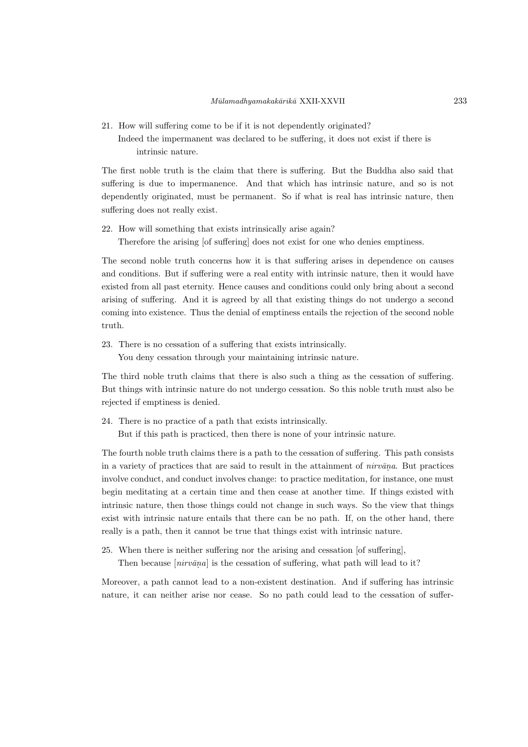- 21. How will suffering come to be if it is not dependently originated?
	- Indeed the impermanent was declared to be suffering, it does not exist if there is intrinsic nature.

The first noble truth is the claim that there is suffering. But the Buddha also said that suffering is due to impermanence. And that which has intrinsic nature, and so is not dependently originated, must be permanent. So if what is real has intrinsic nature, then suffering does not really exist.

22. How will something that exists intrinsically arise again?

Therefore the arising [of suffering] does not exist for one who denies emptiness.

The second noble truth concerns how it is that suffering arises in dependence on causes and conditions. But if suffering were a real entity with intrinsic nature, then it would have existed from all past eternity. Hence causes and conditions could only bring about a second arising of suffering. And it is agreed by all that existing things do not undergo a second coming into existence. Thus the denial of emptiness entails the rejection of the second noble truth.

23. There is no cessation of a suffering that exists intrinsically.

You deny cessation through your maintaining intrinsic nature.

The third noble truth claims that there is also such a thing as the cessation of suffering. But things with intrinsic nature do not undergo cessation. So this noble truth must also be rejected if emptiness is denied.

24. There is no practice of a path that exists intrinsically. But if this path is practiced, then there is none of your intrinsic nature.

The fourth noble truth claims there is a path to the cessation of suffering. This path consists in a variety of practices that are said to result in the attainment of *nirvana*. But practices involve conduct, and conduct involves change: to practice meditation, for instance, one must begin meditating at a certain time and then cease at another time. If things existed with intrinsic nature, then those things could not change in such ways. So the view that things exist with intrinsic nature entails that there can be no path. If, on the other hand, there really is a path, then it cannot be true that things exist with intrinsic nature.

25. When there is neither suffering nor the arising and cessation [of suffering],

Then because  $\left[ n \dot{r} v \bar{a} n a \right]$  is the cessation of suffering, what path will lead to it?

Moreover, a path cannot lead to a non-existent destination. And if suffering has intrinsic nature, it can neither arise nor cease. So no path could lead to the cessation of suffer-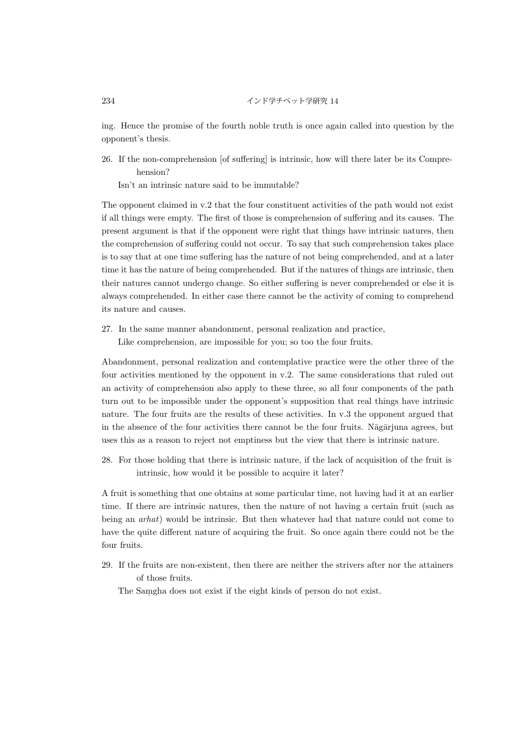ing. Hence the promise of the fourth noble truth is once again called into question by the opponent's thesis.

26. If the non-comprehension [of suffering] is intrinsic, how will there later be its Compre- hension?

Isn't an intrinsic nature said to be immutable?

The opponent claimed in v.2 that the four constituent activities of the path would not exist if all things were empty. The first of those is comprehension of suffering and its causes. The present argument is that if the opponent were right that things have intrinsic natures, then the comprehension of suffering could not occur. To say that such comprehension takes place is to say that at one time suffering has the nature of not being comprehended, and at a later time it has the nature of being comprehended. But if the natures of things are intrinsic, then their natures cannot undergo change. So either suffering is never comprehended or else it is always comprehended. In either case there cannot be the activity of coming to comprehend its nature and causes.

27. In the same manner abandonment, personal realization and practice, Like comprehension, are impossible for you; so too the four fruits.

Abandonment, personal realization and contemplative practice were the other three of the four activities mentioned by the opponent in v.2. The same considerations that ruled out an activity of comprehension also apply to these three, so all four components of the path turn out to be impossible under the opponent's supposition that real things have intrinsic nature. The four fruits are the results of these activities. In v.3 the opponent argued that in the absence of the four activities there cannot be the four fruits. Nagariuna agrees, but uses this as a reason to reject not emptiness but the view that there is intrinsic nature.

28. For those holding that there is intrinsic nature, if the lack of acquisition of the fruit is intrinsic, how would it be possible to acquire it later?

A fruit is something that one obtains at some particular time, not having had it at an earlier time. If there are intrinsic natures, then the nature of not having a certain fruit (such as being an *arhat*) would be intrinsic. But then whatever had that nature could not come to have the quite different nature of acquiring the fruit. So once again there could not be the four fruits.

29. If the fruits are non-existent, then there are neither the strivers after nor the attainers of those fruits.

The Samgha does not exist if the eight kinds of person do not exist.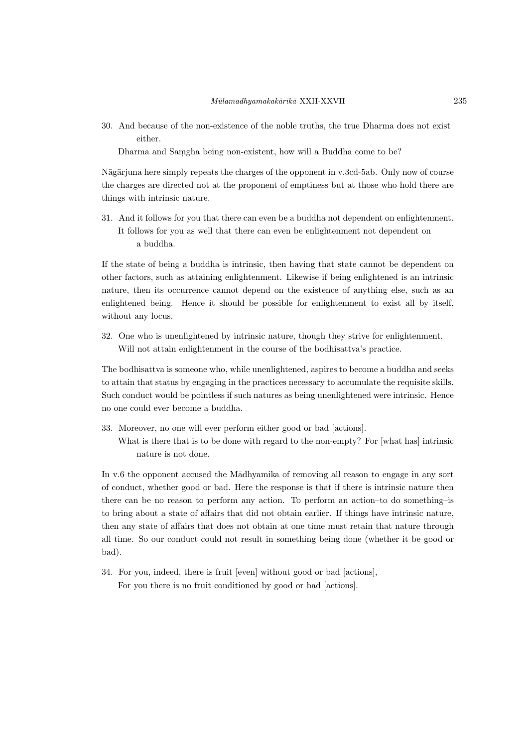30. And because of the non-existence of the noble truths, the true Dharma does not exist either.

Dharma and Samgha being non-existent, how will a Buddha come to be?

Nāgārjuna here simply repeats the charges of the opponent in v.3cd-5ab. Only now of course the charges are directed not at the proponent of emptiness but at those who hold there are things with intrinsic nature.

31. And it follows for you that there can even be a buddha not dependent on enlightenment. It follows for you as well that there can even be enlightenment not dependent on a buddha.

If the state of being a buddha is intrinsic, then having that state cannot be dependent on other factors, such as attaining enlightenment. Likewise if being enlightened is an intrinsic nature, then its occurrence cannot depend on the existence of anything else, such as an enlightened being. Hence it should be possible for enlightenment to exist all by itself, without any locus.

32. One who is unenlightened by intrinsic nature, though they strive for enlightenment, Will not attain enlightenment in the course of the bodhisattva's practice.

The bodhisattva is someone who, while unenlightened, aspires to become a buddha and seeks to attain that status by engaging in the practices necessary to accumulate the requisite skills. Such conduct would be pointless if such natures as being unenlightened were intrinsic. Hence no one could ever become a buddha.

- 33. Moreover, no one will ever perform either good or bad [actions].
	- What is there that is to be done with regard to the non-empty? For [what has] intrinsic nature is not done.

In v.6 the opponent accused the Mādhyamika of removing all reason to engage in any sort of conduct, whether good or bad. Here the response is that if there is intrinsic nature then there can be no reason to perform any action. To perform an action–to do something–is to bring about a state of affairs that did not obtain earlier. If things have intrinsic nature, then any state of affairs that does not obtain at one time must retain that nature through all time. So our conduct could not result in something being done (whether it be good or bad).

34. For you, indeed, there is fruit [even] without good or bad [actions], For you there is no fruit conditioned by good or bad [actions].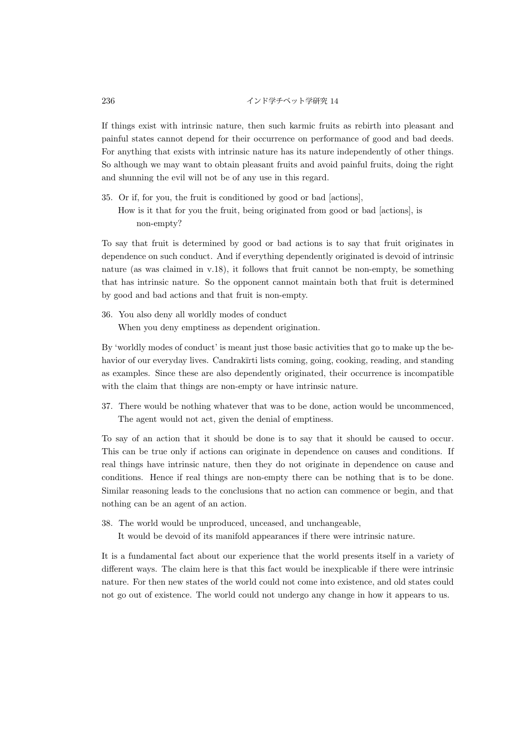If things exist with intrinsic nature, then such karmic fruits as rebirth into pleasant and painful states cannot depend for their occurrence on performance of good and bad deeds. For anything that exists with intrinsic nature has its nature independently of other things. So although we may want to obtain pleasant fruits and avoid painful fruits, doing the right and shunning the evil will not be of any use in this regard.

35. Or if, for you, the fruit is conditioned by good or bad [actions], How is it that for you the fruit, being originated from good or bad [actions], is non-empty?

To say that fruit is determined by good or bad actions is to say that fruit originates in dependence on such conduct. And if everything dependently originated is devoid of intrinsic nature (as was claimed in v.18), it follows that fruit cannot be non-empty, be something that has intrinsic nature. So the opponent cannot maintain both that fruit is determined by good and bad actions and that fruit is non-empty.

36. You also deny all worldly modes of conduct When you deny emptiness as dependent origination.

By 'worldly modes of conduct' is meant just those basic activities that go to make up the behavior of our everyday lives. Candrakīrti lists coming, going, cooking, reading, and standing as examples. Since these are also dependently originated, their occurrence is incompatible with the claim that things are non-empty or have intrinsic nature.

37. There would be nothing whatever that was to be done, action would be uncommenced, The agent would not act, given the denial of emptiness.

To say of an action that it should be done is to say that it should be caused to occur. This can be true only if actions can originate in dependence on causes and conditions. If real things have intrinsic nature, then they do not originate in dependence on cause and conditions. Hence if real things are non-empty there can be nothing that is to be done. Similar reasoning leads to the conclusions that no action can commence or begin, and that nothing can be an agent of an action.

38. The world would be unproduced, unceased, and unchangeable,

It would be devoid of its manifold appearances if there were intrinsic nature.

It is a fundamental fact about our experience that the world presents itself in a variety of different ways. The claim here is that this fact would be inexplicable if there were intrinsic nature. For then new states of the world could not come into existence, and old states could not go out of existence. The world could not undergo any change in how it appears to us.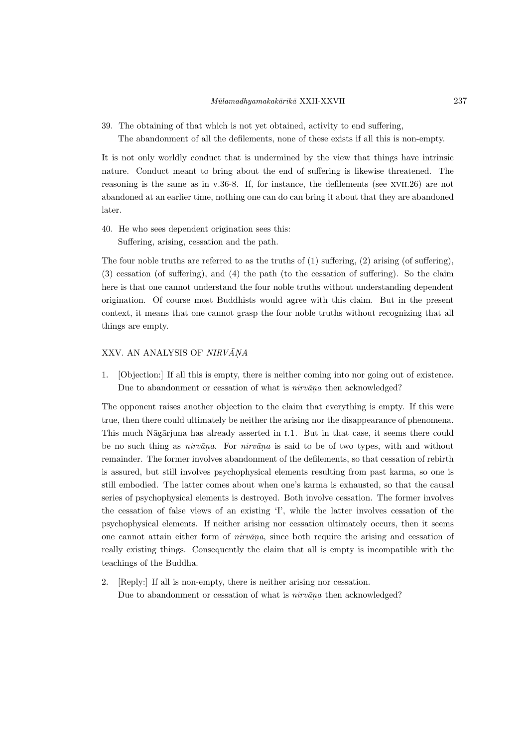39. The obtaining of that which is not yet obtained, activity to end suffering, The abandonment of all the defilements, none of these exists if all this is non-empty.

It is not only worldly conduct that is undermined by the view that things have intrinsic nature. Conduct meant to bring about the end of suffering is likewise threatened. The reasoning is the same as in v.36-8. If, for instance, the defilements (see xvii.26) are not abandoned at an earlier time, nothing one can do can bring it about that they are abandoned later.

40. He who sees dependent origination sees this: Suffering, arising, cessation and the path.

The four noble truths are referred to as the truths of  $(1)$  suffering,  $(2)$  arising (of suffering), (3) cessation (of suffering), and (4) the path (to the cessation of suffering). So the claim here is that one cannot understand the four noble truths without understanding dependent origination. Of course most Buddhists would agree with this claim. But in the present context, it means that one cannot grasp the four noble truths without recognizing that all things are empty.

# XXV. AN ANALYSIS OF *NIRVAN¯ . A*

1. [Objection:] If all this is empty, there is neither coming into nor going out of existence. Due to abandonment or cessation of what is *nirvana* then acknowledged?

The opponent raises another objection to the claim that everything is empty. If this were true, then there could ultimately be neither the arising nor the disappearance of phenomena. This much Nāgārjuna has already asserted in i.1. But in that case, it seems there could be no such thing as *nirvāna*. For *nirvāna* is said to be of two types, with and without remainder. The former involves abandonment of the defilements, so that cessation of rebirth is assured, but still involves psychophysical elements resulting from past karma, so one is still embodied. The latter comes about when one's karma is exhausted, so that the causal series of psychophysical elements is destroyed. Both involve cessation. The former involves the cessation of false views of an existing 'I', while the latter involves cessation of the psychophysical elements. If neither arising nor cessation ultimately occurs, then it seems one cannot attain either form of *nirvana*, since both require the arising and cessation of really existing things. Consequently the claim that all is empty is incompatible with the teachings of the Buddha.

2. [Reply:] If all is non-empty, there is neither arising nor cessation. Due to abandonment or cessation of what is *nirvana* then acknowledged?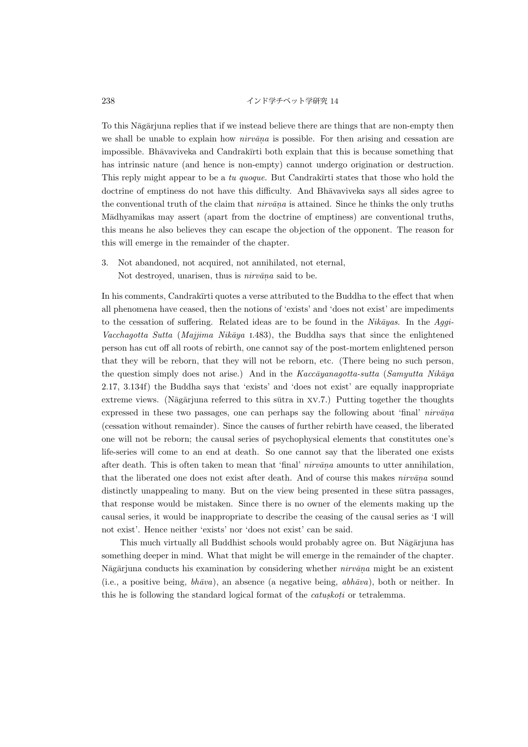To this Nāgārjuna replies that if we instead believe there are things that are non-empty then we shall be unable to explain how *nirvana* is possible. For then arising and cessation are impossible. Bhavaviveka and Candrakūrti both explain that this is because something that has intrinsic nature (and hence is non-empty) cannot undergo origination or destruction. This reply might appear to be a *tu quoque*. But Candrakūrti states that those who hold the doctrine of emptiness do not have this difficulty. And Bhavaviveka says all sides agree to the conventional truth of the claim that  $nirvāna$  is attained. Since he thinks the only truths Mādhyamikas may assert (apart from the doctrine of emptiness) are conventional truths, this means he also believes they can escape the objection of the opponent. The reason for this will emerge in the remainder of the chapter.

3. Not abandoned, not acquired, not annihilated, not eternal, Not destroyed, unarisen, thus is  $nirvāna$  said to be.

In his comments, Candrakūrti quotes a verse attributed to the Buddha to the effect that when all phenomena have ceased, then the notions of 'exists' and 'does not exist' are impediments to the cessation of suffering. Related ideas are to be found in the *Nikāyas*. In the  $Aqqi$ -*Vacchagotta Sutta* (*Majjima Nik¯aya* i.483), the Buddha says that since the enlightened person has cut off all roots of rebirth, one cannot say of the post-mortem enlightened person that they will be reborn, that they will not be reborn, etc. (There being no such person, the question simply does not arise.) And in the *Kacc¯ayanagotta-sutta* (*Samyutta Nik¯aya* 2.17, 3.134f) the Buddha says that 'exists' and 'does not exist' are equally inappropriate extreme views. (Nāgārjuna referred to this sūtra in  $xv.7$ .) Putting together the thoughts expressed in these two passages, one can perhaps say the following about 'final' *nirvana* (cessation without remainder). Since the causes of further rebirth have ceased, the liberated one will not be reborn; the causal series of psychophysical elements that constitutes one's life-series will come to an end at death. So one cannot say that the liberated one exists after death. This is often taken to mean that 'final'  $nirvāna$  amounts to utter annihilation, that the liberated one does not exist after death. And of course this makes *nirvana* sound distinctly unappealing to many. But on the view being presented in these sūtra passages, that response would be mistaken. Since there is no owner of the elements making up the causal series, it would be inappropriate to describe the ceasing of the causal series as 'I will not exist'. Hence neither 'exists' nor 'does not exist' can be said.

This much virtually all Buddhist schools would probably agree on. But Nagarjuna has something deeper in mind. What that might be will emerge in the remainder of the chapter. Nāgārjuna conducts his examination by considering whether *nirvāna* might be an existent (i.e., a positive being, *bhāva*), an absence (a negative being, *abhāva*), both or neither. In this he is following the standard logical format of the *catuskoti* or tetralemma.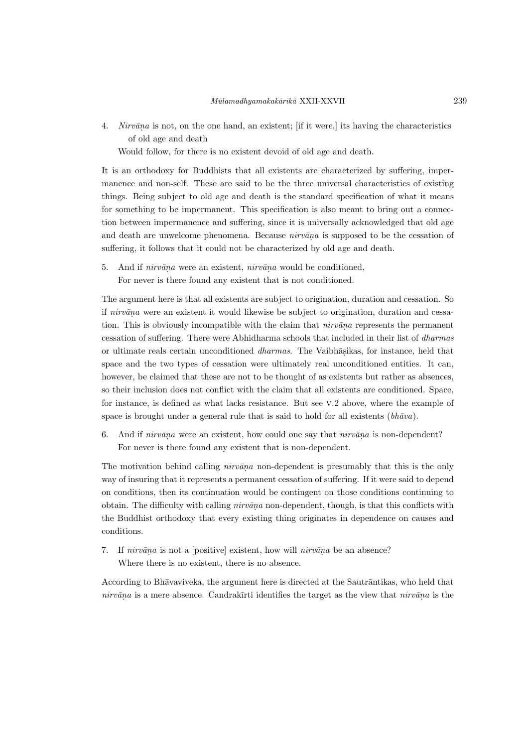4. *Nirvāņa* is not, on the one hand, an existent; [if it were,] its having the characteristics of old age and death

Would follow, for there is no existent devoid of old age and death.

It is an orthodoxy for Buddhists that all existents are characterized by suffering, impermanence and non-self. These are said to be the three universal characteristics of existing things. Being subject to old age and death is the standard specification of what it means for something to be impermanent. This specification is also meant to bring out a connection between impermanence and suffering, since it is universally acknowledged that old age and death are unwelcome phenomena. Because *nirvana* is supposed to be the cessation of suffering, it follows that it could not be characterized by old age and death.

5. And if *nirvana* were an existent, *nirvana* would be conditioned, For never is there found any existent that is not conditioned.

The argument here is that all existents are subject to origination, duration and cessation. So if *nirvana* were an existent it would likewise be subject to origination, duration and cessation. This is obviously incompatible with the claim that *nirvana* represents the permanent cessation of suffering. There were Abhidharma schools that included in their list of *dharmas* or ultimate reals certain unconditioned *dharmas*. The Vaibhasikas, for instance, held that space and the two types of cessation were ultimately real unconditioned entities. It can, however, be claimed that these are not to be thought of as existents but rather as absences, so their inclusion does not conflict with the claim that all existents are conditioned. Space, for instance, is defined as what lacks resistance. But see v.2 above, where the example of space is brought under a general rule that is said to hold for all existents  $(bh\bar{a}va)$ .

6. And if *nirv¯an. a* were an existent, how could one say that *nirv¯an. a* is non-dependent? For never is there found any existent that is non-dependent.

The motivation behind calling *nirvana* non-dependent is presumably that this is the only way of insuring that it represents a permanent cessation of suffering. If it were said to depend on conditions, then its continuation would be contingent on those conditions continuing to obtain. The difficulty with calling *nirvana* non-dependent, though, is that this conflicts with the Buddhist orthodoxy that every existing thing originates in dependence on causes and conditions.

7. If *nirv¯an. a* is not a [positive] existent, how will *nirv¯an. a* be an absence? Where there is no existent, there is no absence.

According to Bhāvaviveka, the argument here is directed at the Sautrantikas, who held that *nirvāna* is a mere absence. Candrakīrti identifies the target as the view that *nirvāna* is the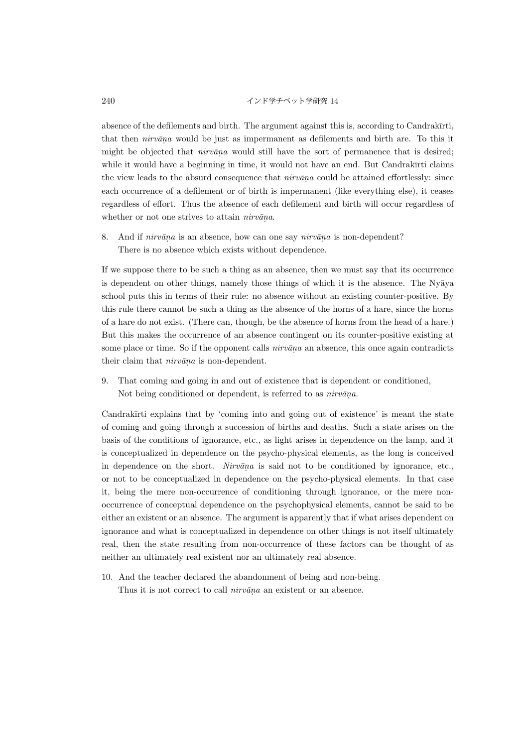absence of the defilements and birth. The argument against this is, according to Candrakūrti, that then *nirvana* would be just as impermanent as defilements and birth are. To this it might be objected that *nirvana* would still have the sort of permanence that is desired; while it would have a beginning in time, it would not have an end. But Candrakūrti claims the view leads to the absurd consequence that  $nirvāna$  could be attained effortlessly: since each occurrence of a defilement or of birth is impermanent (like everything else), it ceases regardless of effort. Thus the absence of each defilement and birth will occur regardless of whether or not one strives to attain  $nirvāna$ .

8. And if *nirvana* is an absence, how can one say *nirvana* is non-dependent? There is no absence which exists without dependence.

If we suppose there to be such a thing as an absence, then we must say that its occurrence is dependent on other things, namely those things of which it is the absence. The  $Ny\bar{a}ya$ school puts this in terms of their rule: no absence without an existing counter-positive. By this rule there cannot be such a thing as the absence of the horns of a hare, since the horns of a hare do not exist. (There can, though, be the absence of horns from the head of a hare.) But this makes the occurrence of an absence contingent on its counter-positive existing at some place or time. So if the opponent calls *nirvana* an absence, this once again contradicts their claim that  $nirvāna$  is non-dependent.

9. That coming and going in and out of existence that is dependent or conditioned, Not being conditioned or dependent, is referred to as *nirvana*.

Candrakīrti explains that by 'coming into and going out of existence' is meant the state of coming and going through a succession of births and deaths. Such a state arises on the basis of the conditions of ignorance, etc., as light arises in dependence on the lamp, and it is conceptualized in dependence on the psycho-physical elements, as the long is conceived in dependence on the short. *Nirvāna* is said not to be conditioned by ignorance, etc., or not to be conceptualized in dependence on the psycho-physical elements. In that case it, being the mere non-occurrence of conditioning through ignorance, or the mere nonoccurrence of conceptual dependence on the psychophysical elements, cannot be said to be either an existent or an absence. The argument is apparently that if what arises dependent on ignorance and what is conceptualized in dependence on other things is not itself ultimately real, then the state resulting from non-occurrence of these factors can be thought of as neither an ultimately real existent nor an ultimately real absence.

10. And the teacher declared the abandonment of being and non-being. Thus it is not correct to call *nirvana* an existent or an absence.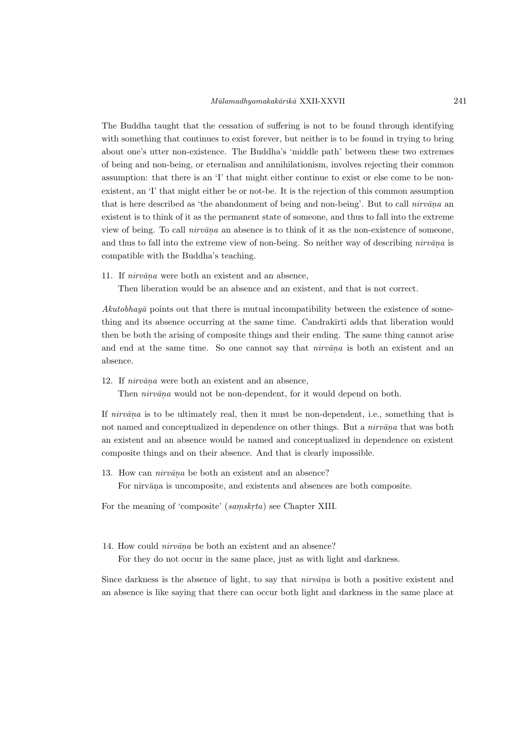The Buddha taught that the cessation of suffering is not to be found through identifying with something that continues to exist forever, but neither is to be found in trying to bring about one's utter non-existence. The Buddha's 'middle path' between these two extremes of being and non-being, or eternalism and annihilationism, involves rejecting their common assumption: that there is an 'I' that might either continue to exist or else come to be nonexistent, an 'I' that might either be or not-be. It is the rejection of this common assumption that is here described as 'the abandonment of being and non-being'. But to call *nirvana* an existent is to think of it as the permanent state of someone, and thus to fall into the extreme view of being. To call *nirvana* an absence is to think of it as the non-existence of someone, and thus to fall into the extreme view of non-being. So neither way of describing *nirvana* is compatible with the Buddha's teaching.

11. If *nirvana* were both an existent and an absence,

Then liberation would be an absence and an existent, and that is not correct.

*Akutobhayā* points out that there is mutual incompatibility between the existence of something and its absence occurring at the same time. Candrakūrti adds that liberation would then be both the arising of composite things and their ending. The same thing cannot arise and end at the same time. So one cannot say that *nirvana* is both an existent and an absence.

12. If *nirvana* were both an existent and an absence,

Then *nirvāna* would not be non-dependent, for it would depend on both.

If *nirvana* is to be ultimately real, then it must be non-dependent, i.e., something that is not named and conceptualized in dependence on other things. But a *nirvana* that was both an existent and an absence would be named and conceptualized in dependence on existent composite things and on their absence. And that is clearly impossible.

13. How can *nirvana* be both an existent and an absence? For nirvāna is uncomposite, and existents and absences are both composite.

For the meaning of 'composite' (*samskrta*) see Chapter XIII.

14. How could *nirvana* be both an existent and an absence?

For they do not occur in the same place, just as with light and darkness.

Since darkness is the absence of light, to say that *nirvana* is both a positive existent and an absence is like saying that there can occur both light and darkness in the same place at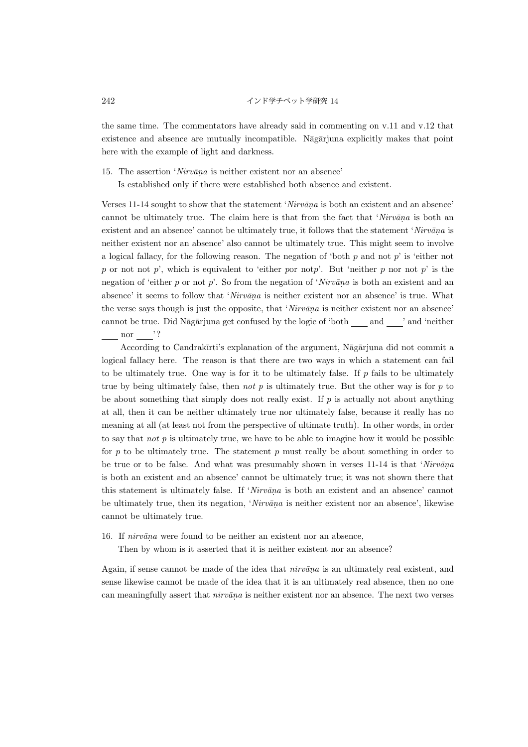the same time. The commentators have already said in commenting on v.11 and v.12 that existence and absence are mutually incompatible. Nagarjuna explicitly makes that point here with the example of light and darkness.

15. The assertion '*Nirvāna* is neither existent nor an absence'

Is established only if there were established both absence and existent.

Verses 11-14 sought to show that the statement '*Nirvāna* is both an existent and an absence' cannot be ultimately true. The claim here is that from the fact that '*Nirvana* is both an existent and an absence' cannot be ultimately true, it follows that the statement '*Nirvana* is neither existent nor an absence' also cannot be ultimately true. This might seem to involve a logical fallacy, for the following reason. The negation of 'both *p* and not *p*' is 'either not *p* or not not *p*', which is equivalent to 'either *p*or not*p*'. But 'neither *p* nor not *p*' is the negation of 'either  $p$  or not  $p'$ . So from the negation of '*Nirvana* is both an existent and an absence' it seems to follow that '*Nirvana* is neither existent nor an absence' is true. What the verse says though is just the opposite, that '*Nirvana* is neither existent nor an absence' cannot be true. Did Nāgārjuna get confused by the logic of 'both and ' and 'neither nor '?

According to Candrakūrti's explanation of the argument, Nāgārjuna did not commit a logical fallacy here. The reason is that there are two ways in which a statement can fail to be ultimately true. One way is for it to be ultimately false. If *p* fails to be ultimately true by being ultimately false, then *not p* is ultimately true. But the other way is for *p* to be about something that simply does not really exist. If  $p$  is actually not about anything at all, then it can be neither ultimately true nor ultimately false, because it really has no meaning at all (at least not from the perspective of ultimate truth). In other words, in order to say that *not p* is ultimately true, we have to be able to imagine how it would be possible for *p* to be ultimately true. The statement *p* must really be about something in order to be true or to be false. And what was presumably shown in verses 11-14 is that '*Nirvana* is both an existent and an absence' cannot be ultimately true; it was not shown there that this statement is ultimately false. If '*Nirvana* is both an existent and an absence' cannot be ultimately true, then its negation, '*Nirvāna* is neither existent nor an absence', likewise cannot be ultimately true.

16. If *nirvana* were found to be neither an existent nor an absence,

Then by whom is it asserted that it is neither existent nor an absence?

Again, if sense cannot be made of the idea that  $nirvāna$  is an ultimately real existent, and sense likewise cannot be made of the idea that it is an ultimately real absence, then no one can meaningfully assert that  $nirvāna$  is neither existent nor an absence. The next two verses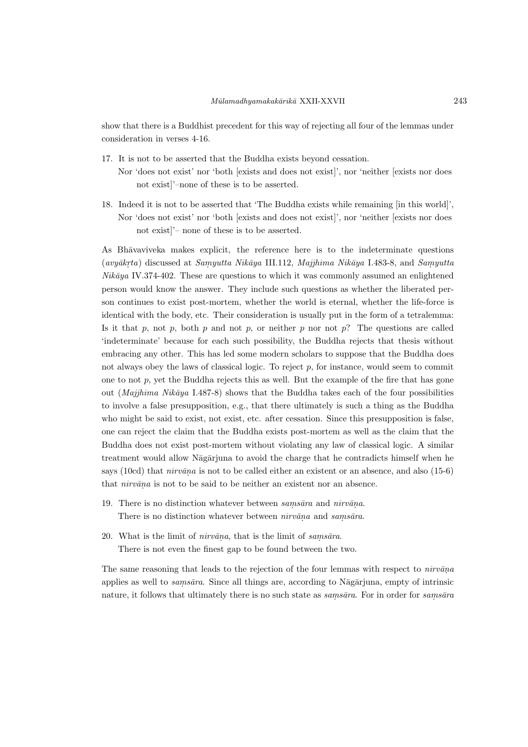show that there is a Buddhist precedent for this way of rejecting all four of the lemmas under consideration in verses 4-16.

- 17. It is not to be asserted that the Buddha exists beyond cessation.
	- Nor 'does not exist' nor 'both [exists and does not exist]', nor 'neither [exists nor does not exist]'–none of these is to be asserted.
- 18. Indeed it is not to be asserted that 'The Buddha exists while remaining [in this world]', Nor 'does not exist' nor 'both [exists and does not exist]', nor 'neither [exists nor does not exist]'– none of these is to be asserted.

As Bhavaviveka makes explicit, the reference here is to the indeterminate questions (*avyākrta*) discussed at *Samyutta Nikāya* III.112, *Majjhima Nikāya* I.483-8, and *Samyutta Nik¯aya* IV.374-402. These are questions to which it was commonly assumed an enlightened person would know the answer. They include such questions as whether the liberated person continues to exist post-mortem, whether the world is eternal, whether the life-force is identical with the body, etc. Their consideration is usually put in the form of a tetralemma: Is it that  $p$ , not  $p$ , both  $p$  and not  $p$ , or neither  $p$  nor not  $p$ ? The questions are called 'indeterminate' because for each such possibility, the Buddha rejects that thesis without embracing any other. This has led some modern scholars to suppose that the Buddha does not always obey the laws of classical logic. To reject  $p$ , for instance, would seem to commit one to not *p*, yet the Buddha rejects this as well. But the example of the fire that has gone out (*Majjhima Nik¯aya* I.487-8) shows that the Buddha takes each of the four possibilities to involve a false presupposition, e.g., that there ultimately is such a thing as the Buddha who might be said to exist, not exist, etc. after cessation. Since this presupposition is false, one can reject the claim that the Buddha exists post-mortem as well as the claim that the Buddha does not exist post-mortem without violating any law of classical logic. A similar treatment would allow Naga<sup>r</sup>juna to avoid the charge that he contradicts himself when he says (10cd) that *nirvana* is not to be called either an existent or an absence, and also (15-6) that *nirvana* is not to be said to be neither an existent nor an absence.

- 19. There is no distinction whatever between *samsara* and *nirvana*. There is no distinction whatever between  $nirvāna$  and  $samsāra$ .
- 20. What is the limit of *nirvāna*, that is the limit of *samsara*. There is not even the finest gap to be found between the two.

The same reasoning that leads to the rejection of the four lemmas with respect to *nirvana* applies as well to *samsāra*. Since all things are, according to Nāgārjuna, empty of intrinsic nature, it follows that ultimately there is no such state as *samsāra*. For in order for *samsāra*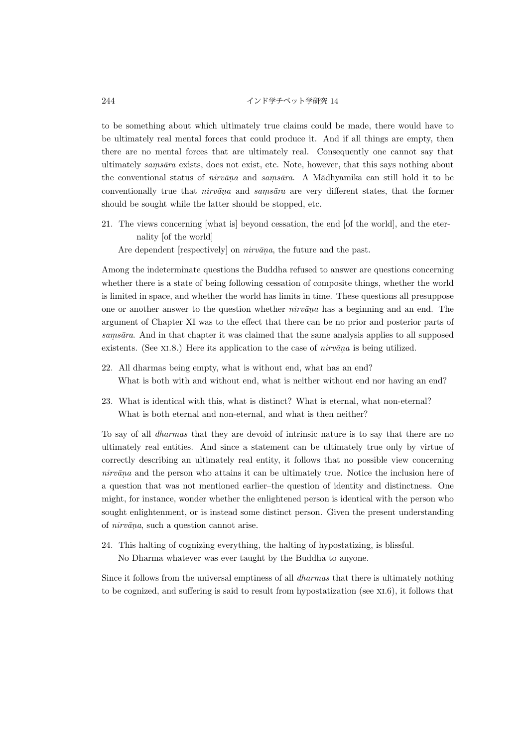to be something about which ultimately true claims could be made, there would have to be ultimately real mental forces that could produce it. And if all things are empty, then there are no mental forces that are ultimately real. Consequently one cannot say that ultimately *samsara* exists, does not exist, etc. Note, however, that this says nothing about the conventional status of *nirvāna* and *samsāra*. A Mādhyamika can still hold it to be conventionally true that  $nirvāna$  and  $samsāra$  are very different states, that the former should be sought while the latter should be stopped, etc.

21. The views concerning [what is] beyond cessation, the end [of the world], and the eter- nality [of the world]

Are dependent [respectively] on *nirvāna*, the future and the past.

Among the indeterminate questions the Buddha refused to answer are questions concerning whether there is a state of being following cessation of composite things, whether the world is limited in space, and whether the world has limits in time. These questions all presuppose one or another answer to the question whether *nirvana* has a beginning and an end. The argument of Chapter XI was to the effect that there can be no prior and posterior parts of samsara. And in that chapter it was claimed that the same analysis applies to all supposed existents. (See x1.8.) Here its application to the case of *nirvana* is being utilized.

- 22. All dharmas being empty, what is without end, what has an end? What is both with and without end, what is neither without end nor having an end?
- 23. What is identical with this, what is distinct? What is eternal, what non-eternal? What is both eternal and non-eternal, and what is then neither?

To say of all *dharmas* that they are devoid of intrinsic nature is to say that there are no ultimately real entities. And since a statement can be ultimately true only by virtue of correctly describing an ultimately real entity, it follows that no possible view concerning *nirvāna* and the person who attains it can be ultimately true. Notice the inclusion here of a question that was not mentioned earlier–the question of identity and distinctness. One might, for instance, wonder whether the enlightened person is identical with the person who sought enlightenment, or is instead some distinct person. Given the present understanding of *nirvāna*, such a question cannot arise.

24. This halting of cognizing everything, the halting of hypostatizing, is blissful. No Dharma whatever was ever taught by the Buddha to anyone.

Since it follows from the universal emptiness of all *dharmas* that there is ultimately nothing to be cognized, and suffering is said to result from hypostatization (see xi.6), it follows that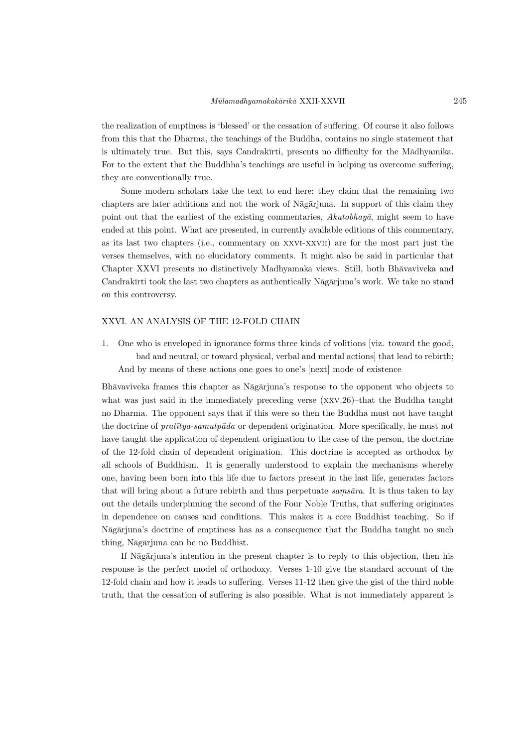the realization of emptiness is 'blessed' or the cessation of suffering. Of course it also follows from this that the Dharma, the teachings of the Buddha, contains no single statement that is ultimately true. But this, says Candrakūrti, presents no difficulty for the M $\bar{a}$ dhyamika. For to the extent that the Buddhha's teachings are useful in helping us overcome suffering, they are conventionally true.

 Some modern scholars take the text to end here; they claim that the remaining two chapters are later additions and not the work of Nagariuna. In support of this claim they point out that the earliest of the existing commentaries,  $A kutobhay\bar{a}$ , might seem to have ended at this point. What are presented, in currently available editions of this commentary, as its last two chapters (i.e., commentary on xxvi-xxvii) are for the most part just the verses themselves, with no elucidatory comments. It might also be said in particular that Chapter XXVI presents no distinctively Madhyamaka views. Still, both Bhavaviveka and Candrakūrti took the last two chapters as authentically Nagarjuna's work. We take no stand on this controversy.

# XXVI. AN ANALYSIS OF THE 12-FOLD CHAIN

1. One who is enveloped in ignorance forms three kinds of volitions [viz. toward the good, bad and neutral, or toward physical, verbal and mental actions] that lead to rebirth; And by means of these actions one goes to one's [next] mode of existence

Bhāvaviveka frames this chapter as Nāgārjuna's response to the opponent who objects to what was just said in the immediately preceding verse (xxv.26)–that the Buddha taught no Dharma. The opponent says that if this were so then the Buddha must not have taught the doctrine of *pratitya-samutpāda* or dependent origination. More specifically, he must not have taught the application of dependent origination to the case of the person, the doctrine of the 12-fold chain of dependent origination. This doctrine is accepted as orthodox by all schools of Buddhism. It is generally understood to explain the mechanisms whereby one, having been born into this life due to factors present in the last life, generates factors that will bring about a future rebirth and thus perpetuate *samsara*. It is thus taken to lay out the details underpinning the second of the Four Noble Truths, that suffering originates in dependence on causes and conditions. This makes it a core Buddhist teaching. So if Nāgārjuna's doctrine of emptiness has as a consequence that the Buddha taught no such thing, Nāgārjuna can be no Buddhist.

If Nāgārjuna's intention in the present chapter is to reply to this objection, then his response is the perfect model of orthodoxy. Verses 1-10 give the standard account of the 12-fold chain and how it leads to suffering. Verses 11-12 then give the gist of the third noble truth, that the cessation of suffering is also possible. What is not immediately apparent is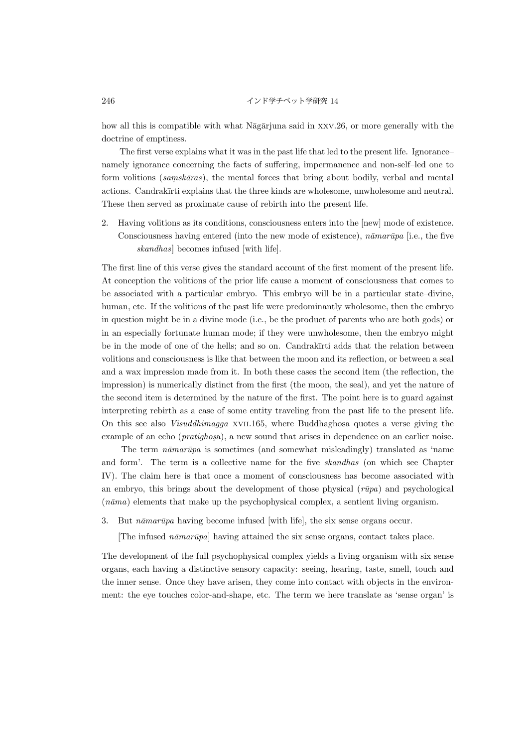246 インド学チベット学研究 14

how all this is compatible with what Nāgārjuna said in xxv.26, or more generally with the doctrine of emptiness.

 The first verse explains what it was in the past life that led to the present life. Ignorance– namely ignorance concerning the facts of suffering, impermanence and non-self–led one to form volitions ( $sams\bar{k}\bar{a}ras$ ), the mental forces that bring about bodily, verbal and mental actions. Candrakūrti explains that the three kinds are wholesome, unwholesome and neutral. These then served as proximate cause of rebirth into the present life.

2. Having volitions as its conditions, consciousness enters into the [new] mode of existence. Consciousness having entered (into the new mode of existence),  $n\bar{a}mar\bar{u}pa$  [i.e., the five *skandhas*] becomes infused [with life].

The first line of this verse gives the standard account of the first moment of the present life. At conception the volitions of the prior life cause a moment of consciousness that comes to be associated with a particular embryo. This embryo will be in a particular state–divine, human, etc. If the volitions of the past life were predominantly wholesome, then the embryo in question might be in a divine mode (i.e., be the product of parents who are both gods) or in an especially fortunate human mode; if they were unwholesome, then the embryo might be in the mode of one of the hells; and so on. Candrakūrti adds that the relation between volitions and consciousness is like that between the moon and its reflection, or between a seal and a wax impression made from it. In both these cases the second item (the reflection, the impression) is numerically distinct from the first (the moon, the seal), and yet the nature of the second item is determined by the nature of the first. The point here is to guard against interpreting rebirth as a case of some entity traveling from the past life to the present life. On this see also *Visuddhimagga* xvii.165, where Buddhaghosa quotes a verse giving the example of an echo (*pratighosa*), a new sound that arises in dependence on an earlier noise.

The term  $n\bar{a}mar\bar{u}pa$  is sometimes (and somewhat misleadingly) translated as 'name and form'. The term is a collective name for the five *skandhas* (on which see Chapter IV). The claim here is that once a moment of consciousness has become associated with an embryo, this brings about the development of those physical  $(r\bar{u}pa)$  and psychological (*n¯ama*) elements that make up the psychophysical complex, a sentient living organism.

3. But *nāmarūpa* having become infused [with life], the six sense organs occur.

[The infused *n¯amar¯upa*] having attained the six sense organs, contact takes place.

The development of the full psychophysical complex yields a living organism with six sense organs, each having a distinctive sensory capacity: seeing, hearing, taste, smell, touch and the inner sense. Once they have arisen, they come into contact with objects in the environment: the eye touches color-and-shape, etc. The term we here translate as 'sense organ' is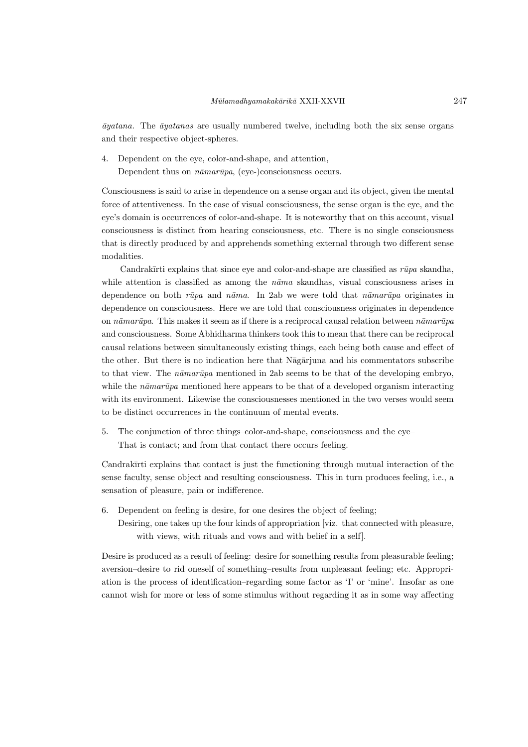$āyatana.$  The  $āyatanas$  are usually numbered twelve, including both the six sense organs and their respective object-spheres.

4. Dependent on the eye, color-and-shape, and attention, Dependent thus on  $n\bar{a}$ *mar* $\bar{u}$ *pa*, (eye-)consciousness occurs.

Consciousness is said to arise in dependence on a sense organ and its object, given the mental force of attentiveness. In the case of visual consciousness, the sense organ is the eye, and the eye's domain is occurrences of color-and-shape. It is noteworthy that on this account, visual consciousness is distinct from hearing consciousness, etc. There is no single consciousness that is directly produced by and apprehends something external through two different sense modalities.

Candrakūrti explains that since eye and color-and-shape are classified as  $r\bar{u}p\bar{a}$  skandha, while attention is classified as among the  $n\bar{a}ma$  skandhas, visual consciousness arises in dependence on both  $r\bar{u}pa$  and  $n\bar{a}ma$ . In 2ab we were told that  $n\bar{a}mar\bar{u}pa$  originates in dependence on consciousness. Here we are told that consciousness originates in dependence on  $n\bar{a}mar\bar{u}pa$ . This makes it seem as if there is a reciprocal causal relation between  $n\bar{a}mar\bar{u}pa$ and consciousness. Some Abhidharma thinkers took this to mean that there can be reciprocal causal relations between simultaneously existing things, each being both cause and effect of the other. But there is no indication here that Nagarjuna and his commentators subscribe to that view. The *nāmarūpa* mentioned in 2ab seems to be that of the developing embryo, while the *nāmarūpa* mentioned here appears to be that of a developed organism interacting with its environment. Likewise the consciousnesses mentioned in the two verses would seem to be distinct occurrences in the continuum of mental events.

5. The conjunction of three things–color-and-shape, consciousness and the eye– That is contact; and from that contact there occurs feeling.

Candrakūrti explains that contact is just the functioning through mutual interaction of the sense faculty, sense object and resulting consciousness. This in turn produces feeling, i.e., a sensation of pleasure, pain or indifference.

- Dependent on feeling is desire, for one desires the object of feeling;
	- Desiring, one takes up the four kinds of appropriation [viz. that connected with pleasure, with views, with rituals and vows and with belief in a self].

Desire is produced as a result of feeling: desire for something results from pleasurable feeling; aversion–desire to rid oneself of something–results from unpleasant feeling; etc. Appropriation is the process of identification–regarding some factor as 'I' or 'mine'. Insofar as one cannot wish for more or less of some stimulus without regarding it as in some way affecting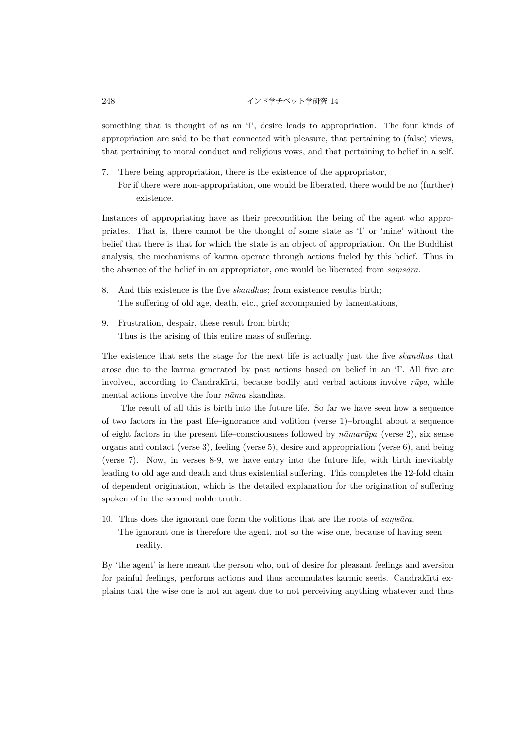something that is thought of as an 'I', desire leads to appropriation. The four kinds of appropriation are said to be that connected with pleasure, that pertaining to (false) views, that pertaining to moral conduct and religious vows, and that pertaining to belief in a self.

7. There being appropriation, there is the existence of the appropriator, For if there were non-appropriation, one would be liberated, there would be no (further) existence.

Instances of appropriating have as their precondition the being of the agent who appropriates. That is, there cannot be the thought of some state as 'I' or 'mine' without the belief that there is that for which the state is an object of appropriation. On the Buddhist analysis, the mechanisms of karma operate through actions fueled by this belief. Thus in the absence of the belief in an appropriator, one would be liberated from *samsara*.

- 8. And this existence is the five *skandhas*; from existence results birth; The suffering of old age, death, etc., grief accompanied by lamentations,
- 9. Frustration, despair, these result from birth; Thus is the arising of this entire mass of suffering.

The existence that sets the stage for the next life is actually just the five *skandhas* that arose due to the karma generated by past actions based on belief in an 'I'. All five are involved, according to Candrakūrti, because bodily and verbal actions involve  $r\bar{u}pa$ , while mental actions involve the four  $n\bar{a}ma$  skandhas.

 The result of all this is birth into the future life. So far we have seen how a sequence of two factors in the past life–ignorance and volition (verse 1)–brought about a sequence of eight factors in the present life–consciousness followed by  $n\bar{a}mar\bar{u}pa$  (verse 2), six sense organs and contact (verse 3), feeling (verse 5), desire and appropriation (verse 6), and being (verse 7). Now, in verses 8-9, we have entry into the future life, with birth inevitably leading to old age and death and thus existential suffering. This completes the 12-fold chain of dependent origination, which is the detailed explanation for the origination of suffering spoken of in the second noble truth.

- 10. Thus does the ignorant one form the volitions that are the roots of *samsara*.
	- The ignorant one is therefore the agent, not so the wise one, because of having seen reality.

By 'the agent' is here meant the person who, out of desire for pleasant feelings and aversion for painful feelings, performs actions and thus accumulates karmic seeds. Candrakūrti explains that the wise one is not an agent due to not perceiving anything whatever and thus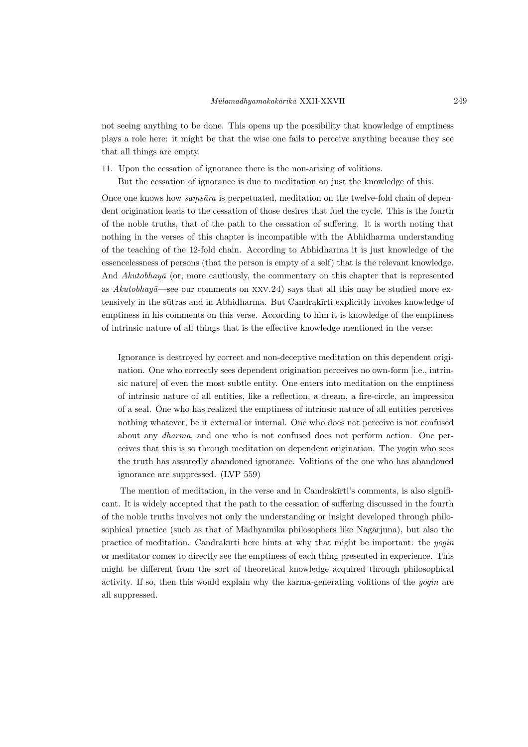not seeing anything to be done. This opens up the possibility that knowledge of emptiness plays a role here: it might be that the wise one fails to perceive anything because they see that all things are empty.

11. Upon the cessation of ignorance there is the non-arising of volitions.

But the cessation of ignorance is due to meditation on just the knowledge of this.

Once one knows how *samsara* is perpetuated, meditation on the twelve-fold chain of dependent origination leads to the cessation of those desires that fuel the cycle. This is the fourth of the noble truths, that of the path to the cessation of suffering. It is worth noting that nothing in the verses of this chapter is incompatible with the Abhidharma understanding of the teaching of the 12-fold chain. According to Abhidharma it is just knowledge of the essencelessness of persons (that the person is empty of a self) that is the relevant knowledge. And *Akutobhayā* (or, more cautiously, the commentary on this chapter that is represented as *Akutobhay* $\bar{a}$ —see our comments on xxv.24) says that all this may be studied more extensively in the sūtras and in Abhidharma. But Candrakīrti explicitly invokes knowledge of emptiness in his comments on this verse. According to him it is knowledge of the emptiness of intrinsic nature of all things that is the effective knowledge mentioned in the verse:

Ignorance is destroyed by correct and non-deceptive meditation on this dependent origination. One who correctly sees dependent origination perceives no own-form [i.e., intrinsic nature] of even the most subtle entity. One enters into meditation on the emptiness of intrinsic nature of all entities, like a reflection, a dream, a fire-circle, an impression of a seal. One who has realized the emptiness of intrinsic nature of all entities perceives nothing whatever, be it external or internal. One who does not perceive is not confused about any *dharma*, and one who is not confused does not perform action. One perceives that this is so through meditation on dependent origination. The yogin who sees the truth has assuredly abandoned ignorance. Volitions of the one who has abandoned ignorance are suppressed. (LVP 559)

The mention of meditation, in the verse and in Candrakūrti's comments, is also significant. It is widely accepted that the path to the cessation of suffering discussed in the fourth of the noble truths involves not only the understanding or insight developed through philosophical practice (such as that of Mādhyamika philosophers like Nāgārjuna), but also the practice of meditation. Candrakūrti here hints at why that might be important: the *yogin* or meditator comes to directly see the emptiness of each thing presented in experience. This might be different from the sort of theoretical knowledge acquired through philosophical activity. If so, then this would explain why the karma-generating volitions of the *yogin* are all suppressed.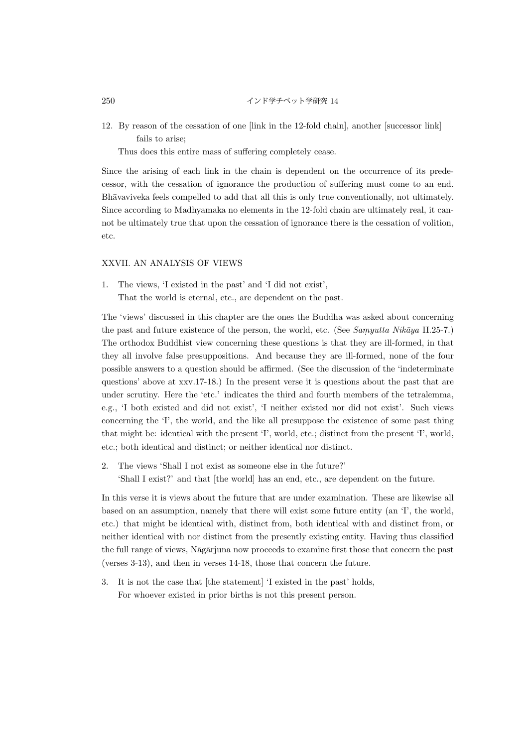12. By reason of the cessation of one [link in the 12-fold chain], another [successor link] fails to arise;

Thus does this entire mass of suffering completely cease.

Since the arising of each link in the chain is dependent on the occurrence of its predecessor, with the cessation of ignorance the production of suffering must come to an end. Bh $\bar{a}$ vaviveka feels compelled to add that all this is only true conventionally, not ultimately. Since according to Madhyamaka no elements in the 12-fold chain are ultimately real, it cannot be ultimately true that upon the cessation of ignorance there is the cessation of volition, etc.

# XXVII. AN ANALYSIS OF VIEWS

1. The views, 'I existed in the past' and 'I did not exist', That the world is eternal, etc., are dependent on the past.

The 'views' discussed in this chapter are the ones the Buddha was asked about concerning the past and future existence of the person, the world, etc. (See *Samyutta Nikāya* II.25-7.) The orthodox Buddhist view concerning these questions is that they are ill-formed, in that they all involve false presuppositions. And because they are ill-formed, none of the four possible answers to a question should be affirmed. (See the discussion of the 'indeterminate questions' above at xxv.17-18.) In the present verse it is questions about the past that are under scrutiny. Here the 'etc.' indicates the third and fourth members of the tetralemma, e.g., 'I both existed and did not exist', 'I neither existed nor did not exist'. Such views concerning the 'I', the world, and the like all presuppose the existence of some past thing that might be: identical with the present 'I', world, etc.; distinct from the present 'I', world, etc.; both identical and distinct; or neither identical nor distinct.

2. The views 'Shall I not exist as someone else in the future?'

'Shall I exist?' and that [the world] has an end, etc., are dependent on the future.

In this verse it is views about the future that are under examination. These are likewise all based on an assumption, namely that there will exist some future entity (an 'I', the world, etc.) that might be identical with, distinct from, both identical with and distinct from, or neither identical with nor distinct from the presently existing entity. Having thus classified the full range of views, Nagarjuna now proceeds to examine first those that concern the past (verses 3-13), and then in verses 14-18, those that concern the future.

3. It is not the case that [the statement] 'I existed in the past' holds, For whoever existed in prior births is not this present person.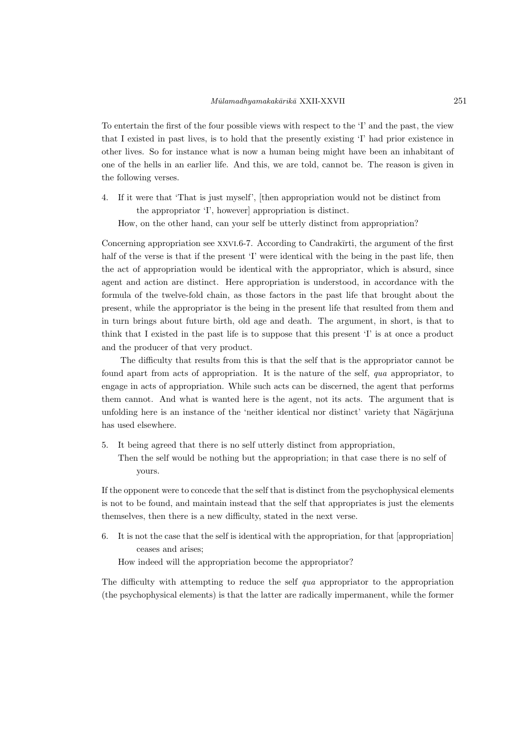To entertain the first of the four possible views with respect to the 'I' and the past, the view that I existed in past lives, is to hold that the presently existing 'I' had prior existence in other lives. So for instance what is now a human being might have been an inhabitant of one of the hells in an earlier life. And this, we are told, cannot be. The reason is given in the following verses.

4. If it were that 'That is just myself', [then appropriation would not be distinct from the appropriator 'I', however] appropriation is distinct. How, on the other hand, can your self be utterly distinct from appropriation?

Concerning appropriation see XXVI.6-7. According to Candrakūrti, the argument of the first half of the verse is that if the present 'I' were identical with the being in the past life, then the act of appropriation would be identical with the appropriator, which is absurd, since agent and action are distinct. Here appropriation is understood, in accordance with the formula of the twelve-fold chain, as those factors in the past life that brought about the present, while the appropriator is the being in the present life that resulted from them and in turn brings about future birth, old age and death. The argument, in short, is that to think that I existed in the past life is to suppose that this present 'I' is at once a product and the producer of that very product.

 The difficulty that results from this is that the self that is the appropriator cannot be found apart from acts of appropriation. It is the nature of the self, *qua* appropriator, to engage in acts of appropriation. While such acts can be discerned, the agent that performs them cannot. And what is wanted here is the agent, not its acts. The argument that is unfolding here is an instance of the 'neither identical nor distinct' variety that Nagarjuna has used elsewhere.

- 5. It being agreed that there is no self utterly distinct from appropriation,
	- Then the self would be nothing but the appropriation; in that case there is no self of yours.

If the opponent were to concede that the self that is distinct from the psychophysical elements is not to be found, and maintain instead that the self that appropriates is just the elements themselves, then there is a new difficulty, stated in the next verse.

6. It is not the case that the self is identical with the appropriation, for that [appropriation] ceases and arises;

How indeed will the appropriation become the appropriator?

The difficulty with attempting to reduce the self *qua* appropriator to the appropriation (the psychophysical elements) is that the latter are radically impermanent, while the former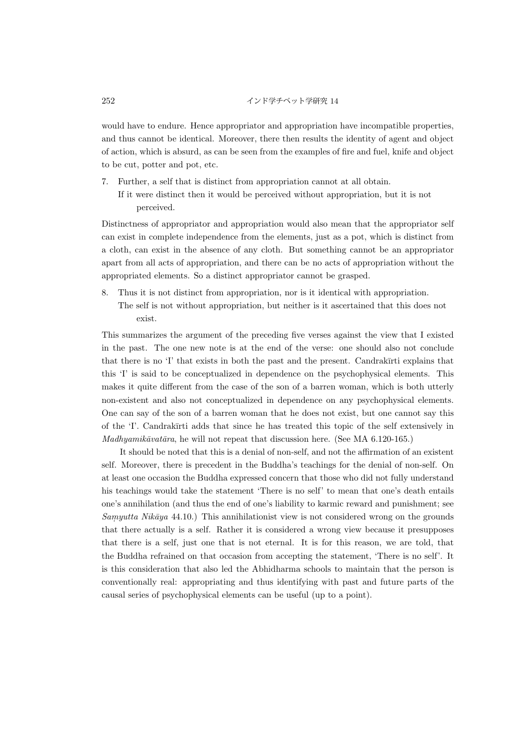would have to endure. Hence appropriator and appropriation have incompatible properties, and thus cannot be identical. Moreover, there then results the identity of agent and object of action, which is absurd, as can be seen from the examples of fire and fuel, knife and object to be cut, potter and pot, etc.

- Further, a self that is distinct from appropriation cannot at all obtain.
	- If it were distinct then it would be perceived without appropriation, but it is not perceived.

Distinctness of appropriator and appropriation would also mean that the appropriator self can exist in complete independence from the elements, just as a pot, which is distinct from a cloth, can exist in the absence of any cloth. But something cannot be an appropriator apart from all acts of appropriation, and there can be no acts of appropriation without the appropriated elements. So a distinct appropriator cannot be grasped.

8. Thus it is not distinct from appropriation, nor is it identical with appropriation. The self is not without appropriation, but neither is it ascertained that this does not exist.

This summarizes the argument of the preceding five verses against the view that I existed in the past. The one new note is at the end of the verse: one should also not conclude that there is no 'I' that exists in both the past and the present. Candrakūrti explains that this 'I' is said to be conceptualized in dependence on the psychophysical elements. This makes it quite different from the case of the son of a barren woman, which is both utterly non-existent and also not conceptualized in dependence on any psychophysical elements. One can say of the son of a barren woman that he does not exist, but one cannot say this of the 'I'. Candrakīrti adds that since he has treated this topic of the self extensively in *Madhyamik¯avat¯ara*, he will not repeat that discussion here. (See MA 6.120-165.)

 It should be noted that this is a denial of non-self, and not the affirmation of an existent self. Moreover, there is precedent in the Buddha's teachings for the denial of non-self. On at least one occasion the Buddha expressed concern that those who did not fully understand his teachings would take the statement 'There is no self' to mean that one's death entails one's annihilation (and thus the end of one's liability to karmic reward and punishment; see *Samyutta Nikāya* 44.10.) This annihilationist view is not considered wrong on the grounds that there actually is a self. Rather it is considered a wrong view because it presupposes that there is a self, just one that is not eternal. It is for this reason, we are told, that the Buddha refrained on that occasion from accepting the statement, 'There is no self'. It is this consideration that also led the Abhidharma schools to maintain that the person is conventionally real: appropriating and thus identifying with past and future parts of the causal series of psychophysical elements can be useful (up to a point).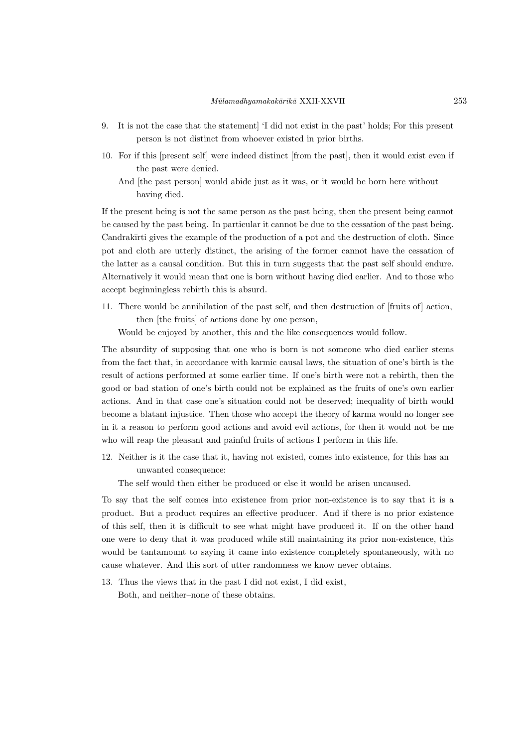- 9. It is not the case that the statement] 'I did not exist in the past' holds; For this present person is not distinct from whoever existed in prior births.
- 10. For if this [present self] were indeed distinct [from the past], then it would exist even if the past were denied.
	- And [the past person] would abide just as it was, or it would be born here without having died.

If the present being is not the same person as the past being, then the present being cannot be caused by the past being. In particular it cannot be due to the cessation of the past being. Candrakūrti gives the example of the production of a pot and the destruction of cloth. Since pot and cloth are utterly distinct, the arising of the former cannot have the cessation of the latter as a causal condition. But this in turn suggests that the past self should endure. Alternatively it would mean that one is born without having died earlier. And to those who accept beginningless rebirth this is absurd.

11. There would be annihilation of the past self, and then destruction of [fruits of] action, then [the fruits] of actions done by one person,

Would be enjoyed by another, this and the like consequences would follow.

The absurdity of supposing that one who is born is not someone who died earlier stems from the fact that, in accordance with karmic causal laws, the situation of one's birth is the result of actions performed at some earlier time. If one's birth were not a rebirth, then the good or bad station of one's birth could not be explained as the fruits of one's own earlier actions. And in that case one's situation could not be deserved; inequality of birth would become a blatant injustice. Then those who accept the theory of karma would no longer see in it a reason to perform good actions and avoid evil actions, for then it would not be me who will reap the pleasant and painful fruits of actions I perform in this life.

12. Neither is it the case that it, having not existed, comes into existence, for this has an unwanted consequence:

The self would then either be produced or else it would be arisen uncaused.

To say that the self comes into existence from prior non-existence is to say that it is a product. But a product requires an effective producer. And if there is no prior existence of this self, then it is difficult to see what might have produced it. If on the other hand one were to deny that it was produced while still maintaining its prior non-existence, this would be tantamount to saying it came into existence completely spontaneously, with no cause whatever. And this sort of utter randomness we know never obtains.

13. Thus the views that in the past I did not exist, I did exist,

Both, and neither–none of these obtains.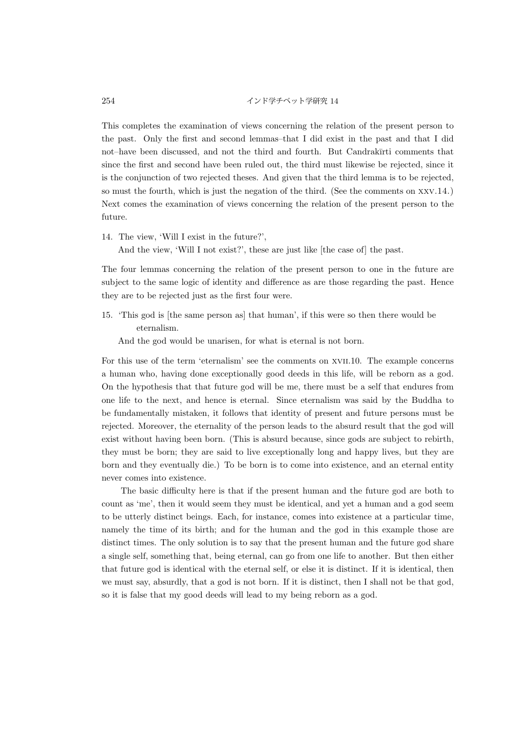This completes the examination of views concerning the relation of the present person to the past. Only the first and second lemmas–that I did exist in the past and that I did not–have been discussed, and not the third and fourth. But Candrakūrti comments that since the first and second have been ruled out, the third must likewise be rejected, since it is the conjunction of two rejected theses. And given that the third lemma is to be rejected, so must the fourth, which is just the negation of the third. (See the comments on xxv.14.) Next comes the examination of views concerning the relation of the present person to the future.

14. The view, 'Will I exist in the future?',

And the view, 'Will I not exist?', these are just like [the case of] the past.

The four lemmas concerning the relation of the present person to one in the future are subject to the same logic of identity and difference as are those regarding the past. Hence they are to be rejected just as the first four were.

15. 'This god is [the same person as] that human', if this were so then there would be eternalism.

And the god would be unarisen, for what is eternal is not born.

For this use of the term 'eternalism' see the comments on xvii.10. The example concerns a human who, having done exceptionally good deeds in this life, will be reborn as a god. On the hypothesis that that future god will be me, there must be a self that endures from one life to the next, and hence is eternal. Since eternalism was said by the Buddha to be fundamentally mistaken, it follows that identity of present and future persons must be rejected. Moreover, the eternality of the person leads to the absurd result that the god will exist without having been born. (This is absurd because, since gods are subject to rebirth, they must be born; they are said to live exceptionally long and happy lives, but they are born and they eventually die.) To be born is to come into existence, and an eternal entity never comes into existence.

 The basic difficulty here is that if the present human and the future god are both to count as 'me', then it would seem they must be identical, and yet a human and a god seem to be utterly distinct beings. Each, for instance, comes into existence at a particular time, namely the time of its birth; and for the human and the god in this example those are distinct times. The only solution is to say that the present human and the future god share a single self, something that, being eternal, can go from one life to another. But then either that future god is identical with the eternal self, or else it is distinct. If it is identical, then we must say, absurdly, that a god is not born. If it is distinct, then I shall not be that god, so it is false that my good deeds will lead to my being reborn as a god.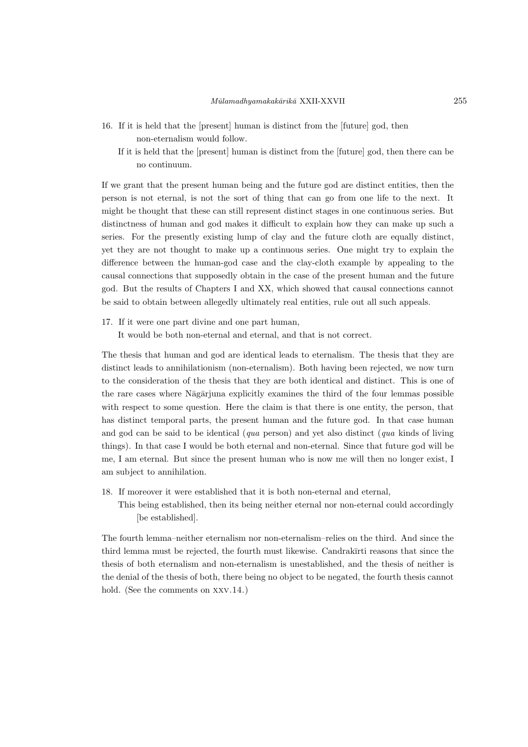- 16. If it is held that the [present] human is distinct from the [future] god, then non-eternalism would follow.
	- If it is held that the [present] human is distinct from the [future] god, then there can be no continuum.

If we grant that the present human being and the future god are distinct entities, then the person is not eternal, is not the sort of thing that can go from one life to the next. It might be thought that these can still represent distinct stages in one continuous series. But distinctness of human and god makes it difficult to explain how they can make up such a series. For the presently existing lump of clay and the future cloth are equally distinct, yet they are not thought to make up a continuous series. One might try to explain the difference between the human-god case and the clay-cloth example by appealing to the causal connections that supposedly obtain in the case of the present human and the future god. But the results of Chapters I and XX, which showed that causal connections cannot be said to obtain between allegedly ultimately real entities, rule out all such appeals.

17. If it were one part divine and one part human,

It would be both non-eternal and eternal, and that is not correct.

The thesis that human and god are identical leads to eternalism. The thesis that they are distinct leads to annihilationism (non-eternalism). Both having been rejected, we now turn to the consideration of the thesis that they are both identical and distinct. This is one of the rare cases where Nagarjuna explicitly examines the third of the four lemmas possible with respect to some question. Here the claim is that there is one entity, the person, that has distinct temporal parts, the present human and the future god. In that case human and god can be said to be identical (*qua* person) and yet also distinct (*qua* kinds of living things). In that case I would be both eternal and non-eternal. Since that future god will be me, I am eternal. But since the present human who is now me will then no longer exist, I am subject to annihilation.

- 18. If moreover it were established that it is both non-eternal and eternal,
	- This being established, then its being neither eternal nor non-eternal could accordingly [be established].

The fourth lemma–neither eternalism nor non-eternalism–relies on the third. And since the third lemma must be rejected, the fourth must likewise. Candrak¯ırti reasons that since the thesis of both eternalism and non-eternalism is unestablished, and the thesis of neither is the denial of the thesis of both, there being no object to be negated, the fourth thesis cannot hold. (See the comments on  $XXV.14$ .)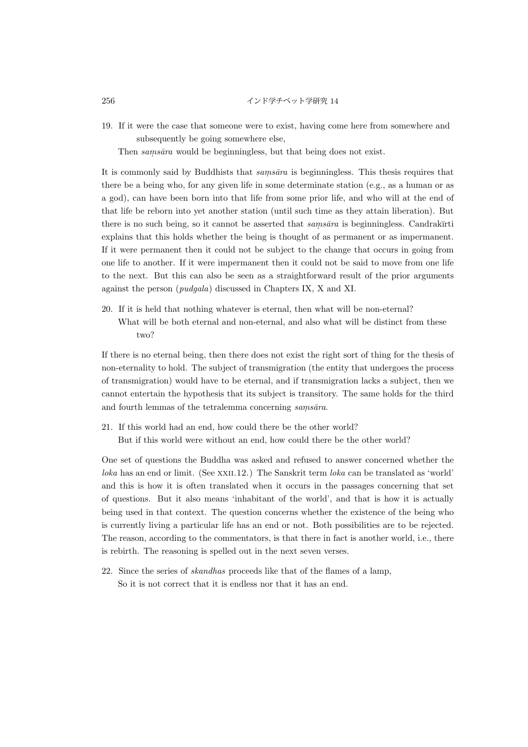19. If it were the case that someone were to exist, having come here from somewhere and subsequently be going somewhere else,

Then *samsara* would be beginningless, but that being does not exist.

It is commonly said by Buddhists that *samsara* is beginningless. This thesis requires that there be a being who, for any given life in some determinate station (e.g., as a human or as a god), can have been born into that life from some prior life, and who will at the end of that life be reborn into yet another station (until such time as they attain liberation). But there is no such being, so it cannot be asserted that *samsara* is beginningless. Candrakūrti explains that this holds whether the being is thought of as permanent or as impermanent. If it were permanent then it could not be subject to the change that occurs in going from one life to another. If it were impermanent then it could not be said to move from one life to the next. But this can also be seen as a straightforward result of the prior arguments against the person (*pudgala*) discussed in Chapters IX, X and XI.

20. If it is held that nothing whatever is eternal, then what will be non-eternal? What will be both eternal and non-eternal, and also what will be distinct from these two?

If there is no eternal being, then there does not exist the right sort of thing for the thesis of non-eternality to hold. The subject of transmigration (the entity that undergoes the process of transmigration) would have to be eternal, and if transmigration lacks a subject, then we cannot entertain the hypothesis that its subject is transitory. The same holds for the third and fourth lemmas of the tetralemma concerning *samsara*.

21. If this world had an end, how could there be the other world?

But if this world were without an end, how could there be the other world?

One set of questions the Buddha was asked and refused to answer concerned whether the *loka* has an end or limit. (See xxii.12.) The Sanskrit term *loka* can be translated as 'world' and this is how it is often translated when it occurs in the passages concerning that set of questions. But it also means 'inhabitant of the world', and that is how it is actually being used in that context. The question concerns whether the existence of the being who is currently living a particular life has an end or not. Both possibilities are to be rejected. The reason, according to the commentators, is that there in fact is another world, i.e., there is rebirth. The reasoning is spelled out in the next seven verses.

22. Since the series of *skandhas* proceeds like that of the flames of a lamp, So it is not correct that it is endless nor that it has an end.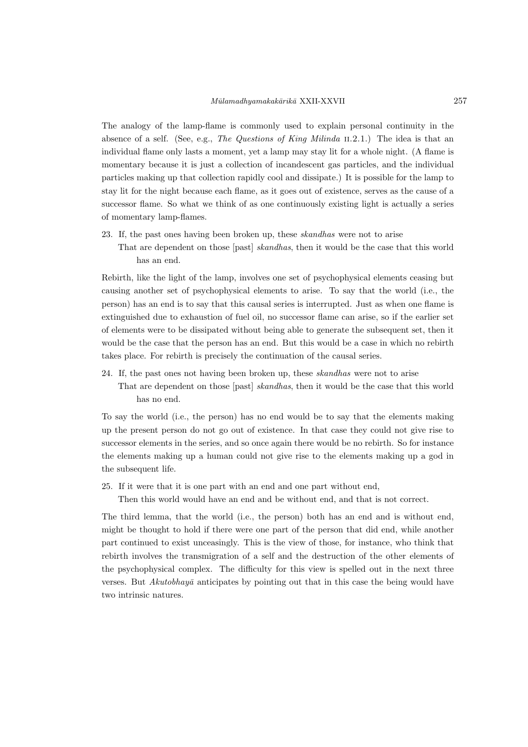The analogy of the lamp-flame is commonly used to explain personal continuity in the absence of a self. (See, e.g., *The Questions of King Milinda* II.2.1.) The idea is that an individual flame only lasts a moment, yet a lamp may stay lit for a whole night. (A flame is momentary because it is just a collection of incandescent gas particles, and the individual particles making up that collection rapidly cool and dissipate.) It is possible for the lamp to stay lit for the night because each flame, as it goes out of existence, serves as the cause of a successor flame. So what we think of as one continuously existing light is actually a series of momentary lamp-flames.

- 23. If, the past ones having been broken up, these *skandhas* were not to arise
	- That are dependent on those [past] *skandhas*, then it would be the case that this world has an end.

Rebirth, like the light of the lamp, involves one set of psychophysical elements ceasing but causing another set of psychophysical elements to arise. To say that the world (i.e., the person) has an end is to say that this causal series is interrupted. Just as when one flame is extinguished due to exhaustion of fuel oil, no successor flame can arise, so if the earlier set of elements were to be dissipated without being able to generate the subsequent set, then it would be the case that the person has an end. But this would be a case in which no rebirth takes place. For rebirth is precisely the continuation of the causal series.

- 24. If, the past ones not having been broken up, these *skandhas* were not to arise
	- That are dependent on those [past] *skandhas*, then it would be the case that this world has no end.

To say the world (i.e., the person) has no end would be to say that the elements making up the present person do not go out of existence. In that case they could not give rise to successor elements in the series, and so once again there would be no rebirth. So for instance the elements making up a human could not give rise to the elements making up a god in the subsequent life.

- 25. If it were that it is one part with an end and one part without end,
	- Then this world would have an end and be without end, and that is not correct.

The third lemma, that the world (i.e., the person) both has an end and is without end, might be thought to hold if there were one part of the person that did end, while another part continued to exist unceasingly. This is the view of those, for instance, who think that rebirth involves the transmigration of a self and the destruction of the other elements of the psychophysical complex. The difficulty for this view is spelled out in the next three verses. But *Akutobhayā* anticipates by pointing out that in this case the being would have two intrinsic natures.